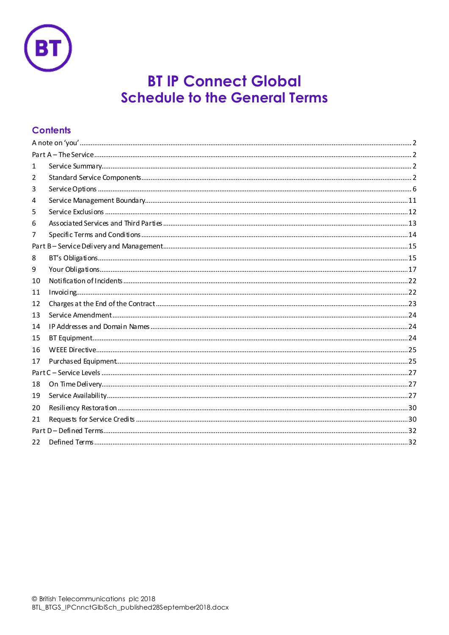

# **BT IP Connect Global Schedule to the General Terms**

# **Contents**

| 1  |  |  |  |
|----|--|--|--|
| 2  |  |  |  |
| 3  |  |  |  |
| 4  |  |  |  |
| 5  |  |  |  |
| 6  |  |  |  |
| 7  |  |  |  |
|    |  |  |  |
| 8  |  |  |  |
| 9  |  |  |  |
| 10 |  |  |  |
| 11 |  |  |  |
| 12 |  |  |  |
| 13 |  |  |  |
| 14 |  |  |  |
| 15 |  |  |  |
| 16 |  |  |  |
| 17 |  |  |  |
|    |  |  |  |
| 18 |  |  |  |
| 19 |  |  |  |
| 20 |  |  |  |
| 21 |  |  |  |
|    |  |  |  |
| 22 |  |  |  |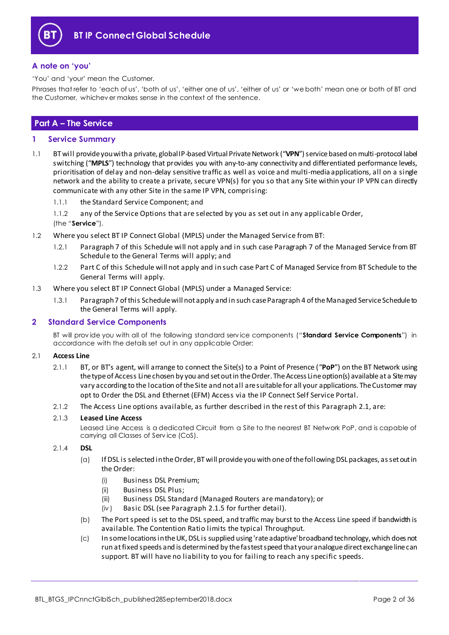

### <span id="page-1-0"></span>**A note on 'you'**

'You' and 'your' mean the Customer.

Phrases that refer to 'each of us', 'both of us', 'either one of us', 'either of us' or 'we both' mean one or both of BT and the Customer, whichev er makes sense in the context of the sentence.

### <span id="page-1-1"></span>**Part A – The Service**

#### <span id="page-1-2"></span>**1 Service Summary**

- 1.1 BT will provide you with a private, global IP-based Virtual Private Network ("**VPN**") service based on multi-protocol label switching ("MPLS") technology that provides you with any-to-any connectivity and differentiated performance levels, prioritisation of delay and non-delay sensitive traffic as well as voice and multi-media applications, all on a single network and the ability to create a private, secure VPN(s) for you so that any Site within your IP VPN can directly communicate with any other Site in the same IP VPN, comprising:
	- 1.1.1 the Standard Service Component; and
	- 1.1.2 any of the Service Options that are selected by you as set out in any applicable Order,
	- (the "**Service**").
- 1.2 Where you select BT IP Connect Global (MPLS) under the Managed Service from BT:
	- 1.2.1 Paragraph 7 of this Schedule will not apply and in such case Paragraph 7 of the Managed Service from BT Schedule to the General Terms will apply; and
	- 1.2.2 Part C of this Schedule will not apply and in such case Part C of Managed Service from BT Schedule to the General Terms will apply.
- 1.3 Where you select BT IP Connect Global (MPLS) under a Managed Service:
	- 1.3.1 Paragraph 7 of this Schedule will not apply and in such case Paragraph 4 of the Managed Service Schedule to the General Terms will apply.

#### <span id="page-1-3"></span>**2 Standard Service Components**

BT will prov ide you with all of the following standard serv ice components ("**Standard Service Components**") in accordance with the details set out in any applicable Order:

#### <span id="page-1-4"></span>2.1 **Access Line**

- 2.1.1 BT, or BT's agent, will arrange to connect the Site(s) to a Point of Presence ("**PoP**") on the BT Network using the type of Access Line chosen by you and set out in the Order. The Access Line option(s) available at a Site may vary according to the location of the Site and not all are suitable for all your applications. The Customer may opt to Order the DSL and Ethernet (EFM) Access via the IP Connect Self Service Portal.
- 2.1.2 The Access Line options available, as further described in the rest of this Par[agra](#page-1-4)ph 2.1, are:

#### 2.1.3 **Leased Line Access**

Leased Line Access is a dedicated Circuit from a Site to the nearest BT Network PoP, and is capable of carrying all Classes of Serv ice (CoS).

#### <span id="page-1-7"></span><span id="page-1-6"></span><span id="page-1-5"></span>2.1.4 **DSL**

- (a) If DSL is selected in the Order, BT will provide you with one of the following DSL packages, as set out in the Order:
	- (i) Business DSL Premium;
	- (ii) Business DSL Plus;
	- (iii) Business DSL Standard (Managed Routers are mandatory); or
	- (iv ) Basic DSL (see Paragra[ph 2.1](#page-2-0).5 for further detail).
- <span id="page-1-8"></span>(b) The Port speed is set to the DSL speed, and traffic may burst to the Access Line speed if bandwidth is available. The Contention Ratio limits the typical Throughput.
- (c) In some locations in the UK, DSL is supplied using 'rate adaptive' broadband technology, which does not run at fixed speeds and is determined by the fastest speed that your analogue direct exchange line can support. BT will have no liability to you for failing to reach any specific speeds.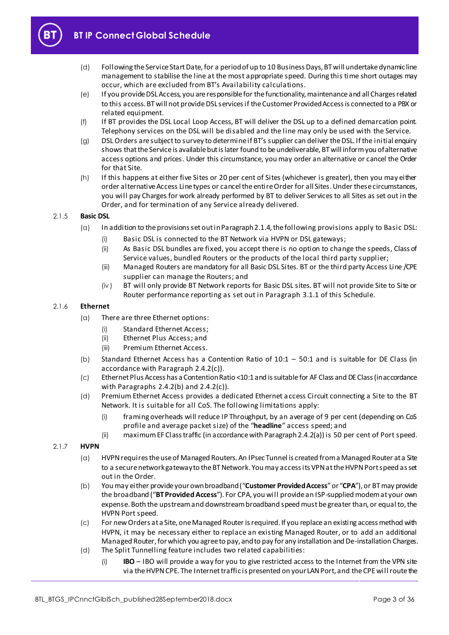

- (d) Following the Service Start Date, for a period of up to 10 Business Days, BT will undertake dynamic line management to stabilise the line at the most appropriate speed. During this time short outages may occur, which are excluded from BT's Availability calculations.
- (e) If you provide DSL Access, you are responsible for the functionality, maintenance and all Charges related to this access. BT will not provide DSL services if the Customer Provided Access is connected to a PBX or related equipment.
- (f) If BT provides the DSL Local Loop Access, BT will deliver the DSL up to a defined demarcation point. Telephony services on the DSL will be disabled and the line may only be used with the Service.
- (g) DSL Orders are subject to survey to determine if BT's supplier can deliver the DSL. If the initial enquiry shows that the Service is available but is later found to be undeliverable, BT will inform you of alternative access options and prices. Under this circumstance, you may order an alternative or cancel the Order for that Site.
- (h) If this happens at either five Sites or 20 per cent of Sites (whichever is greater), then you may either order alternative Access Line types or cancel the entire Order for all Sites. Under these circumstances, you will pay Charges for work already performed by BT to deliver Services to all Sites as set out in the Order, and for termination of any Service already delivered.

#### <span id="page-2-0"></span>2.1.5 **Basic DSL**

- (a) In addition to the provisions set out in Paragrap[h 2.1.4](#page-1-5), the following provisions apply to Basic DSL:
	- (i) Basic DSL is connected to the BT Network via HVPN or DSL gateways;
	- (ii) As Basic DSL bundles are fixed, you accept there is no option to change the speeds, Class of Service values, bundled Routers or the products of the local third party supplier;
	- (iii) Managed Routers are mandatory for all Basic DSL Sites. BT or the third party Access Line /CPE supplier can manage the Routers; and
	- (iv ) BT will only provide BT Network reports for Basic DSL sites. BT will not provide Site to Site or Router performance reporting as set out in Paragr[aph 3](#page-5-1).1.1 of this Schedule.

#### 2.1.6 **Ethernet**

- (a) There are three Ethernet options:
	- (i) Standard Ethernet Access;
	- (ii) Ethernet Plus Access; and
	- (iii) Premium Ethernet Access.
- (b) Standard Ethernet Access has a Contention Ratio of 10:1 50:1 and is suitable for DE Class (in accordance with Paragra[ph 2.4.2\(](#page-4-0)c)).
- (c) Ethernet Plus Access has a Contention Ratio <10:1 and is suitable for AF Class and DE Class (in accordance with Paragrap[hs 2.4.2\(b](#page-4-1)) a[nd 2.4.2\(](#page-4-0)c)).
- (d) Premium Ethernet Access provides a dedicated Ethernet access Circuit connecting a Site to the BT Network. It is suitable for all CoS. The following limitations apply:
	- (i) framing overheads will reduce IP Throughput, by an average of 9 per cent (depending on CoS profile and average packet size) of the "**headline**" access speed; and
	- (ii) maximum EF Class traffic (in accordance with Paragrap[h 2.4.2\(a\)](#page-4-2)) is 50 per cent of Port speed.

#### <span id="page-2-1"></span>2.1.7 **HVPN**

- (a) HVPN requires the use of Managed Routers. An IPsec Tunnel is created from a Managed Router at a Site to a secure network gateway to the BT Network. You may access its VPN at the HVPN Port speed as set out in the Order.
- (b) You may either provide your own broadband ("**Customer Provided Access**"or "**CPA**"), or BT may provide the broadband ("**BT Provided Access**"). For CPA, you will provide an ISP-supplied modem at your own expense. Both the upstream and downstream broadband speed must be greater than, or equal to, the HVPN Port speed.
- (c) For new Orders at a Site, one Managed Router is required. If you replace an existing access method with HVPN, it may be necessary either to replace an existing Managed Router, or to add an additional Managed Router, for which you agree to pay, and to pay for any installation and De-installation Charges.
- <span id="page-2-2"></span>(d) The Split Tunnelling feature includes two related capabilities:
	- (i) **IBO** IBO will provide a way for you to give restricted access to the Internet from the VPN site via the HVPN CPE. The Internet traffic is presented on your LAN Port, and the CPE will route the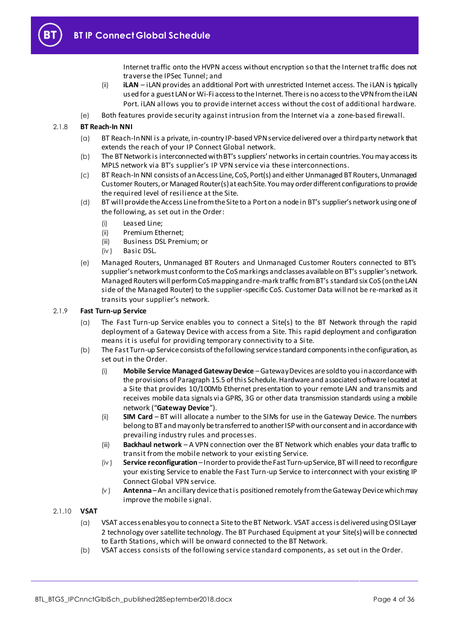

Internet traffic onto the HVPN access without encryption so that the Internet traffic does not traverse the IPSec Tunnel; and

- (ii) **iLAN** iLAN provides an additional Port with unrestricted Internet access. The iLAN is typically used for a guest LAN or Wi-Fi access to the Internet. There is no access to the VPN from the iLAN Port. iLAN allows you to provide internet access without the cost of additional hardware.
- (e) Both features provide security against intrusion from the Internet via a zone-based firewall.

#### 2.1.8 **BT Reach-In NNI**

- (a) BT Reach-In NNI is a private, in-country IP-based VPN service delivered over a third party network that extends the reach of your IP Connect Global network.
- (b) The BT Network is interconnected with BT's suppliers' networksin certain countries. You may access its MPLS network via BT's supplier's IP VPN service via these interconnections.
- (c) BT Reach-In NNI consists of an Access Line, CoS, Port(s) and either Unmanaged BT Routers, Unmanaged Customer Routers, or Managed Router(s) at each Site. You may order different configurations to provide the required level of resilience at the Site.
- (d) BT will provide the Access Line from the Site to a Port on a node in BT's supplier's network using one of the following, as set out in the Order:
	- (i) Leased Line;
	- (ii) Premium Ethernet;
	- (iii) Business DSL Premium; or
	- (iv ) Basic DSL.
- (e) Managed Routers, Unmanaged BT Routers and Unmanaged Customer Routers connected to BT's supplier's network must conform to the CoS markings and classes available on BT's supplier's network. Managed Routers will perform CoS mapping and re-mark traffic from BT's standard six CoS (on the LAN side of the Managed Router) to the supplier-specific CoS. Customer Data will not be re-marked as it transits your supplier's network.

#### <span id="page-3-0"></span>2.1.9 **Fast Turn-up Service**

- (a) The Fast Turn-up Service enables you to connect a Site(s) to the BT Network through the rapid deployment of a Gateway Device with access from a Site. This rapid deployment and configuration means it is useful for providing temporary connectivity to a Site.
- (b) The Fast Turn-up Service consists of the following service standard components in the configuration, as set out in the Order.
	- (i) **Mobile Service Managed Gateway Device** –Gateway Devices are sold to you in accordance with the provisions of Paragrap[h 15.5](#page-23-3) of this Schedule. Hardware and associated software located at a Site that provides 10/100Mb Ethernet presentation to your remote LAN and transmits and receives mobile data signals via GPRS, 3G or other data transmission standards using a mobile network ("**Gateway Device**").
	- (ii) **SIM Card** BT will allocate a number to the SIMs for use in the Gateway Device. The numbers belong to BT and may only be transferred to another ISP with our consent and in accordance with prevailing industry rules and processes.
	- (iii) **Backhaul network** A VPN connection over the BT Network which enables your data traffic to transit from the mobile network to your existing Service.
	- (iv ) **Service reconfiguration** –In order to provide the Fast Turn-up Service, BT will need to reconfigure your existing Service to enable the Fast Turn-up Service to interconnect with your existing IP Connect Global VPN service.
	- (v ) **Antenna** –An ancillary device that is positioned remotely from the Gateway Device which may improve the mobile signal.
- 2.1.10 **VSAT**
	- (a) VSAT access enables you to connect a Site to the BT Network. VSAT access is delivered using OSI Layer 2 technology over satellite technology. The BT Purchased Equipment at your Site(s) will be connected to Earth Stations, which will be onward connected to the BT Network.
	- (b) VSAT access consists of the following service standard components, as set out in the Order.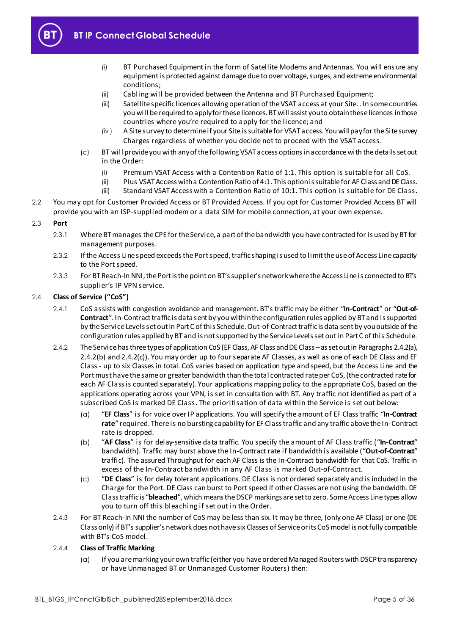

- (i) BT Purchased Equipment in the form of Satellite Modems and Antennas. You will ens ure any equipment is protected against damage due to over voltage, surges, and extreme environmental conditions;
- (ii) Cabling will be provided between the Antenna and BT Purchased Equipment;
- (iii) Satellite specific licences allowing operation of the VSAT access at your Site. . In some countries you will be required to apply for these licences. BT will assist you to obtain these licences in those countries where you're required to apply for the licence; and
- (iv ) A Site survey to determine if your Site is suitable for VSAT access. You will pay for the Site survey Charges regardless of whether you decide not to proceed with the VSAT access.
- (c) BT will provide you with any of the following VSAT access options in accordance with the details set out in the Order:
	- (i) Premium VSAT Access with a Contention Ratio of 1:1. This option is suitable for all CoS.
	- (ii) Plus VSAT Access with a Contention Ratio of 4:1. This option is suitable for AF Class and DE Class.
	- (iii) Standard VSAT Access with a Contention Ratio of 10:1. This option is suitable for DE Class.
- 2.2 You may opt for Customer Provided Access or BT Provided Access. If you opt for Customer Provided Access BT will provide you with an ISP-supplied modem or a data SIM for mobile connection, at your own expense.

#### 2.3 **Port**

- 2.3.1 Where BT manages the CPE for the Service, a part of the bandwidth you have contracted for is used by BT for management purposes.
- 2.3.2 If the Access Line speed exceeds the Port speed, traffic shaping is used to limit the use of Access Line capacity to the Port speed.
- 2.3.3 For BT Reach-In NNI, the Port is the point on BT's supplier's network where the Access Line is connected to BT's supplier's IP VPN service.

#### 2.4 **Class of Service ("CoS")**

- 2.4.1 CoS assists with congestion avoidance and management. BT's traffic may be either "**In-Contract**" or "**Out-of-Contract**". In-Contract traffic is data sent by you within the configuration rules applied by BT and is supported by the Service Levels set out in Part C of this Schedule. Out-of-Contract traffic is data sent by you outside of the configuration rules applied by BT and is not supported by the Service Levels set out in Part C of this Schedule.
- <span id="page-4-2"></span>2.4.2 The Service has three types of application CoS (EF Class, AF Class and DE Class –as set out in Paragraph[s 2.4.2\(a\),](#page-4-2) [2.4.2\(b\)](#page-4-1) an[d 2.4.2\(c\)](#page-4-0)). You may order up to four separate AF Classes, as well as one of each DE Class and EF Class - up to six Classes in total. CoS varies based on application type and speed, but the Access Line and the Port must have the same or greater bandwidth than the total contracted rate per CoS, (the contracted rate for each AF Class is counted separately). Your applications mapping policy to the appropriate CoS, based on the applications operating across your VPN, is set in consultation with BT. Any traffic not identified as part of a subscribed CoS is marked DE Class. The prioritisation of data within the Service is set out below:
	- (a) "**EF Class**" is for voice over IP applications. You will specify the amount of EF Class traffic "**In-Contract rate**" required. There is no bursting capability for EF Class traffic and any traffic above the In-Contract rate is dropped.
	- (b) "**AF Class**" is for delay-sensitive data traffic. You specify the amount of AF Class traffic ("**In-Contract**" bandwidth). Traffic may burst above the In-Contract rate if bandwidth is available ("**Out-of-Contract**" traffic). The assured Throughput for each AF Class is the In-Contract bandwidth for that CoS. Traffic in excess of the In-Contract bandwidth in any AF Class is marked Out-of-Contract.
	- (c) "**DE Class**" is for delay tolerant applications. DE Class is not ordered separately and is included in the Charge for the Port. DE Class can burst to Port speed if other Classes are not using the bandwidth. DE Class traffic is "**bleached**", which means the DSCP markings are set to zero. Some Access Line types allow you to turn off this bleaching if set out in the Order.
- <span id="page-4-1"></span><span id="page-4-0"></span>2.4.3 For BT Reach-In NNI the number of CoS may be less than six. It may be three, (only one AF Class) or one (DE Class only) if BT's supplier's network does not have six Classes of Service or its CoS model is not fully compatible with BT's CoS model.

#### 2.4.4 **Class of Traffic Marking**

(a) If you are marking your own traffic (either you have ordered Managed Routers with DSCP transparency or have Unmanaged BT or Unmanaged Customer Routers) then: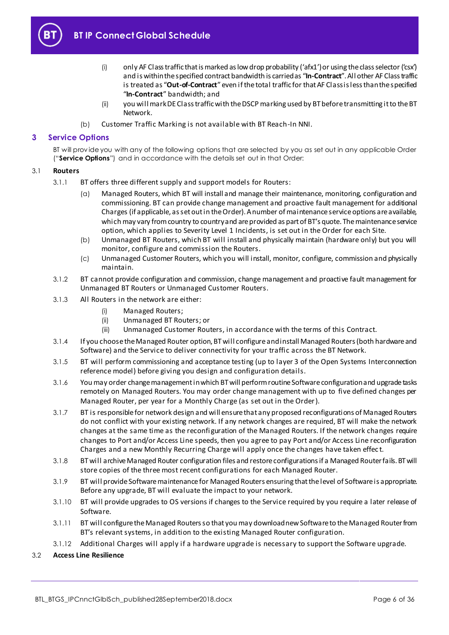

- (i) only AF Class traffic that is marked as low drop probability ('afx1') or using the class selector ('csx') and is within the specified contract bandwidth is carried as "**In-Contract**". All other AF Class traffic is treated as "**Out-of-Contract**"even if the total traffic for that AF Class is less than the specified "**In-Contract**" bandwidth; and
- (ii) you will mark DE Class traffic with the DSCP marking used by BT before transmitting it to the BT Network.
- (b) Customer Traffic Marking is not available with BT Reach-In NNI.

### <span id="page-5-0"></span>**3 Service Options**

BT will prov ide you with any of the following options that are selected by you as set out in any applicable Order ("**Service Options**") and in accordance with the details set out in that Order:

#### <span id="page-5-2"></span><span id="page-5-1"></span>3.1 **Routers**

- 3.1.1 BT offers three different supply and support models for Routers:
	- (a) Managed Routers, which BT will install and manage their maintenance, monitoring, configuration and commissioning. BT can provide change management and proactive fault management for additional Charges (if applicable, as set out in the Order). A number of maintenance service options are available, which may vary from country to country and are provided as part of BT's quote. The maintenance service option, which applies to Severity Level 1 Incidents, is set out in the Order for each Site.
	- (b) Unmanaged BT Routers, which BT will install and physically maintain (hardware only) but you will monitor, configure and commission the Routers.
	- (c) Unmanaged Customer Routers, which you will install, monitor, configure, commission and physically maintain.
- <span id="page-5-4"></span><span id="page-5-3"></span>3.1.2 BT cannot provide configuration and commission, change management and proactive fault management for Unmanaged BT Routers or Unmanaged Customer Routers.
- 3.1.3 All Routers in the network are either:
	- (i) Managed Routers;
	- (ii) Unmanaged BT Routers; or
	- (iii) Unmanaged Customer Routers, in accordance with the terms of this Contract.
- 3.1.4 If you choose the Managed Router option, BT will configure and install Managed Routers (both hardware and Software) and the Service to deliver connectivity for your traffic across the BT Network.
- 3.1.5 BT will perform commissioning and acceptance testing (up to layer 3 of the Open Systems Interconnection reference model) before giving you design and configuration details.
- 3.1.6 You may order change management in which BT will perform routine Software configuration and upgrade tasks remotely on Managed Routers. You may order change management with up to five defined changes per Managed Router, per year for a Monthly Charge (as set out in the Order).
- 3.1.7 BT is responsible for network design and will ensure that any proposed reconfigurations of Managed Routers do not conflict with your existing network. If any network changes are required, BT will make the network changes at the same time as the reconfi guration of the Managed Routers. If the network changes require changes to Port and/or Access Line speeds, then you agree to pay Port and/or Access Line reconfiguration Charges and a new Monthly Recurring Charge will apply once the changes have taken effec t.
- 3.1.8 BT will archive Managed Router configuration files and restore configurations if a Managed Router fails. BT will store copies of the three most recent configurations for each Managed Router.
- 3.1.9 BT will provide Software maintenance for Managed Routers ensuring that the level of Software is appropriate. Before any upgrade, BT will evaluate the impact to your network.
- 3.1.10 BT will provide upgrades to OS versions if changes to the Service required by you require a later release of Software.
- 3.1.11 BT will configure the Managed Routers so that you may download new Software to the Managed Router from BT's relevant systems, in addition to the existing Managed Router configuration.
- 3.1.12 Additional Charges will apply if a hardware upgrade is necessary to support the Software upgrade.
- 3.2 **Access Line Resilience**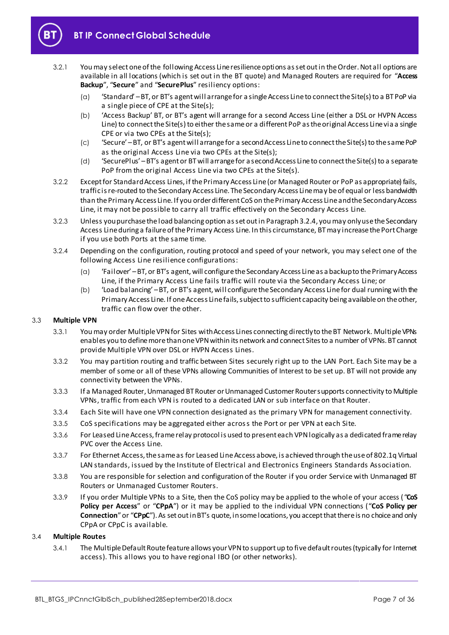

- 3.2.1 You may select one of the following Access Line resilience options as set out in the Order. Not all options are available in all locations (which is set out in the BT quote) and Managed Routers are required for "**Access Backup**", "**Secure**" and "**SecurePlus**" resiliency options:
	- (a) 'Standard' –BT, or BT's agent will arrange for a single Access Line to connect the Site(s) to a BT PoP via a single piece of CPE at the Site(s);
	- (b) 'Access Backup' BT, or BT's agent will arrange for a second Access Line (either a DSL or HVPN Access Line) to connect the Site(s) to either the same or a different PoP as the original Access Line via a single CPE or via two CPEs at the Site(s);
	- (c) 'Secure' –BT, or BT's agent will arrange for a second Access Line to connect the Site(s) to the same PoP as the original Access Line via two CPEs at the Site(s);
	- (d) 'SecurePlus' –BT's agent or BT will arrange for a second Access Line to connect the Site(s) to a separate PoP from the original Access Line via two CPEs at the Site(s).
- 3.2.2 Except for Standard Access Lines, if the Primary Access Line (or Managed Router or PoP as appropriate) fails, traffic is re-routed to the Secondary Access Line. The Secondary Access Line may be of equal or less bandwidth than the Primary Access Line. If you order different CoS on the Primary Access Line and the Secondary Access Line, it may not be possible to carry all traffic effectively on the Secondary Access Line.
- 3.2.3 Unless you purchase the load balancing option as set out in Paragrap[h 3.2.4](#page-6-0), you may only use the Secondary Access Line during a failure of the Primary Access Line. In this circumstance, BT may increase the Port Charge if you use both Ports at the same time.
- <span id="page-6-2"></span><span id="page-6-0"></span>3.2.4 Depending on the configuration, routing protocol and speed of your network, you may select one of the following Access Line resilience configurations:
	- (a) 'Failover' –BT, or BT's agent, will configure the Secondary Access Line as a backup to the Primary Access Line, if the Primary Access Line fails traffic will route via the Secondary Access Line; or
	- (b) 'Load balancing' –BT, or BT's agent, will configure the Secondary Access Line for dual running with the Primary Access Line. If one Access Line fails, subject to sufficient capacity being available on the other, traffic can flow over the other.

#### 3.3 **Multiple VPN**

- 3.3.1 You may order Multiple VPN for Sites with Access Lines connecting directly to the BT Network. Multiple VPNs enables you to define more than one VPN within its network and connect Sites to a number of VPNs. BT cannot provide Multiple VPN over DSL or HVPN Access Lines.
- 3.3.2 You may partition routing and traffic between Sites securely right up to the LAN Port. Each Site may be a member of some or all of these VPNs allowing Communities of Interest to be set up. BT will not provide any connectivity between the VPNs.
- 3.3.3 If a Managed Router, Unmanaged BT Router or Unmanaged Customer Router supports connectivity to Multiple VPNs, traffic from each VPN is routed to a dedicated LAN or sub interface on that Router.
- 3.3.4 Each Site will have one VPN connection designated as the primary VPN for management connectivity.
- 3.3.5 CoS specifications may be aggregated either across the Port or per VPN at each Site.
- 3.3.6 For Leased Line Access, frame relay protocol is used to present each VPN logically as a dedicated frame relay PVC over the Access Line.
- 3.3.7 For Ethernet Access, the same as for Leased Line Access above, is achieved through the use of 802.1q Virtual LAN standards, issued by the Institute of Electrical and Electronics Engineers Standards Association.
- 3.3.8 You are responsible for selection and configuration of the Router if you order Service with Unmanaged BT Routers or Unmanaged Customer Routers.
- 3.3.9 If you order Multiple VPNs to a Site, then the CoS policy may be applied to the whole of your access ( "**CoS Policy per Access**" or "**CPpA**") or it may be applied to the individual VPN connections ("**CoS Policy per Connection**"or "**CPpC**"). As set out in BT's quote, in some locations, you accept that there is no choice and only CPpA or CPpC is available.

#### <span id="page-6-1"></span>3.4 **Multiple Routes**

3.4.1 The Multiple Default Route feature allows your VPN to support up to five default routes (typically for Internet access). This allows you to have regional IBO (or other networks).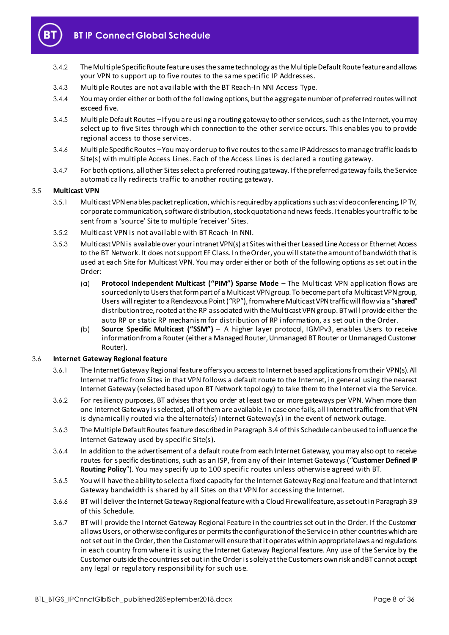

- 3.4.2 The Multiple Specific Route feature uses the same technology as the Multiple Default Route feature and allows your VPN to support up to five routes to the same specific IP Addresses.
- 3.4.3 Multiple Routes are not available with the BT Reach-In NNI Access Type.
- 3.4.4 You may order either or both of the following options, but the aggregate number of preferred routes will not exceed five.
- <span id="page-7-2"></span>3.4.5 Multiple Default Routes –If you are using a routing gateway to other services, such as the Internet, you may select up to five Sites through which connection to the other service occurs. This enables you to provide regional access to those services.
- <span id="page-7-3"></span>3.4.6 Multiple Specific Routes –You may order up to five routes to the same IP Addresses to manage traffic loads to Site(s) with multiple Access Lines. Each of the Access Lines is declared a routing gateway.
- 3.4.7 For both options, all other Sites select a preferred routing gateway. If the preferred gateway fails, the Service automatically redirects traffic to another routing gateway.

#### 3.5 **Multicast VPN**

- 3.5.1 Multicast VPN enables packet replication, which is required by applications such as: video conferencing, IP TV, corporate communication, software distribution, stock quotation and news feeds. It enables your traffic to be sent from a 'source' Site to multiple 'receiver' Sites.
- 3.5.2 Multicast VPN is not available with BT Reach-In NNI.
- 3.5.3 Multicast VPN is available over your intranet VPN(s) at Sites with either Leased Line Access or Ethernet Access to the BT Network. It does not support EF Class. In the Order, you will state the amount of bandwidth that is used at each Site for Multicast VPN. You may order either or both of the following options as set out in the Order:
	- (a) **Protocol Independent Multicast ("PIM") Sparse Mode** The Multicast VPN application flows are sourced only to Users that form part of a Multicast VPN group. To become part of a Multicast VPN group, Users will register to a Rendezvous Point ("RP"), from where Multicast VPN traffic will flow via a "**shared**" distribution tree, rooted at the RP associated with the Multicast VPN group. BT will provide either the auto RP or static RP mechanism for distribution of RP information, as set out in the Order.
	- (b) **Source Specific Multicast ("SSM")** A higher layer protocol, IGMPv3, enables Users to receive information from a Router (either a Managed Router, Unmanaged BT Router or Unmanaged Customer Router).

#### <span id="page-7-1"></span>3.6 **Internet Gateway Regional feature**

- 3.6.1 The Internet Gateway Regional feature offers you access to Internet based applications from their VPN(s). All Internet traffic from Sites in that VPN follows a default route to the Internet, in general using the nearest Internet Gateway (selected based upon BT Network topology) to take them to the Internet via the Service.
- 3.6.2 For resiliency purposes, BT advises that you order at least two or more gateways per VPN. When more than one Internet Gateway is selected, all of them are available. In case one fails, a ll Internet traffic from that VPN is dynamically routed via the alternate(s) Internet Gateway(s) in the event of network outage.
- 3.6.3 The Multiple Default Routes feature described in Paragrap[h 3.4](#page-6-1) of this Schedule can be used to influence the Internet Gateway used by specific Site(s).
- <span id="page-7-0"></span>3.6.4 In addition to the advertisement of a default route from each Internet Gateway, you may also opt to receive routes for specific destinations, such as an ISP, from any of their Internet Gateways ("**Customer Defined IP Routing Policy**"). You may specify up to 100 specific routes unless otherwise agreed with BT.
- 3.6.5 You will have the ability to select a fixed capacity for the Internet Gateway Regional feature and that Internet Gateway bandwidth is shared by all Sites on that VPN for accessing the Internet.
- 3.6.6 BT will deliver the Internet Gateway Regional feature with a Cloud Firewall feature, as set out in Paragrap[h 3.9](#page-8-0) of this Schedule.
- 3.6.7 BT will provide the Internet Gateway Regional Feature in the countries set out in the Order. If the Customer allows Users, or otherwise configures or permits the configuration of the Service in other countries which are not set out in the Order, then the Customer will ensure that it operates within appropriate laws and regulations in each country from where it is using the Internet Gateway Regional feature. Any use of the Service by the Customer outside the countries set out in the Order is solely at the Customers own risk and BT cannot accept any legal or regulatory responsibility for such use.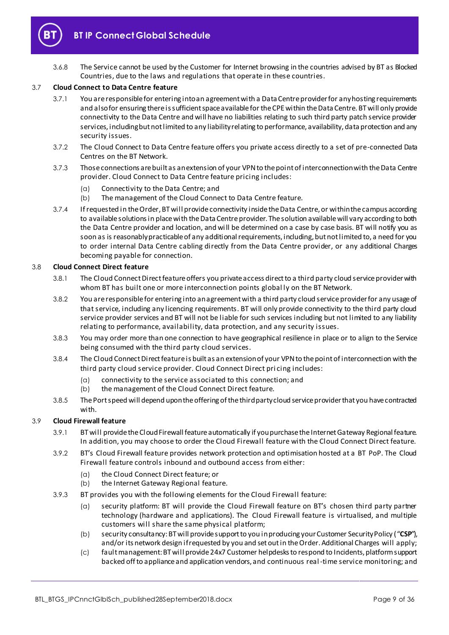

3.6.8 The Service cannot be used by the Customer for Internet browsing in the countries advised by BT as Blocked Countries, due to the laws and regulations that operate in these countries.

#### <span id="page-8-2"></span>3.7 **Cloud Connect to Data Centre feature**

- 3.7.1 You are responsible for entering into an agreement with a Data Centre provider for any hosting requirements and also for ensuring there is sufficient space available for the CPE within the Data Centre. BT will only provide connectivity to the Data Centre and will have no liabilities relating to such third party patch service provider services, including but not limited to any liability relating to performance, availability, data protection and any security issues.
- 3.7.2 The Cloud Connect to Data Centre feature offers you private access directly to a set of pre-connected Data Centres on the BT Network.
- 3.7.3 Those connections are built as an extension of your VPN to the point of interconnection with the Data Centre provider. Cloud Connect to Data Centre feature pricing includes:
	- (a) Connectivity to the Data Centre; and
	- (b) The management of the Cloud Connect to Data Centre feature.
- 3.7.4 If requested in the Order, BT will provide connectivity inside the Data Centre, or within the campus according to available solutions in place with the Data Centre provider. The solution available will vary according to both the Data Centre provider and location, and wi ll be determined on a case by case basis. BT will notify you as soon as is reasonably practicable of any additional requirements, including, but not limited to, a need for you to order internal Data Centre cabling directly from the Data Centre provider, or any additional Charges becoming payable for connection.

#### <span id="page-8-1"></span>3.8 **Cloud Connect Direct feature**

- 3.8.1 The Cloud Connect Direct feature offers you private access direct to a third party cloud service provider with whom BT has built one or more interconnection points global ly on the BT Network.
- 3.8.2 You are responsible for entering into an agreement with a third party cloud service provider for any usage of that service, including any licencing requirements. BT will only provide connectivity to the third party cloud service provider services and BT will not be liable for such services including but not limited to any liability relating to performance, availability, data protection, and any security issues.
- 3.8.3 You may order more than one connection to have geographical resilience in place or to align to the Service being consumed with the third party cloud services.
- 3.8.4 The Cloud Connect Direct feature is built as an extension of your VPN to the point of interconnection with the third party cloud service provider. Cloud Connect Direct pri cing includes:
	- (a) connectivity to the service associated to this connection; and
	- (b) the management of the Cloud Connect Direct feature.
- 3.8.5 The Port speed will depend upon the offering of the third party cloud service provider that you have contracted with.

#### <span id="page-8-0"></span>3.9 **Cloud Firewall feature**

- 3.9.1 BT will provide the Cloud Firewall feature automatically if you purchase the Internet Gateway Regional feature. In addition, you may choose to order the Cloud Firewall feature with the Cloud Connect Direct feature.
- 3.9.2 BT's Cloud Firewall feature provides network protection and optimisation hosted at a BT PoP. The Cloud Firewall feature controls inbound and outbound access from either:
	- (a) the Cloud Connect Direct feature; or
	- (b) the Internet Gateway Regional feature.
- 3.9.3 BT provides you with the following elements for the Cloud Firewall feature:
	- (a) security platform: BT will provide the Cloud Firewall feature on BT's chosen third party partner technology (hardware and applications). The Cloud Firewall feature is virtualised, and multiple customers will share the same physical platform;
	- (b) security consultancy: BT will provide support to you in producing your Customer Security Policy ("**CSP**"), and/or its network design if requested by you and set out in the Order. Additional Charges will apply;
	- (c) fault management: BT will provide 24x7 Customer helpdesks to respond to Incidents, platform support backed off to appliance and application vendors, and continuous real-time service monitoring; and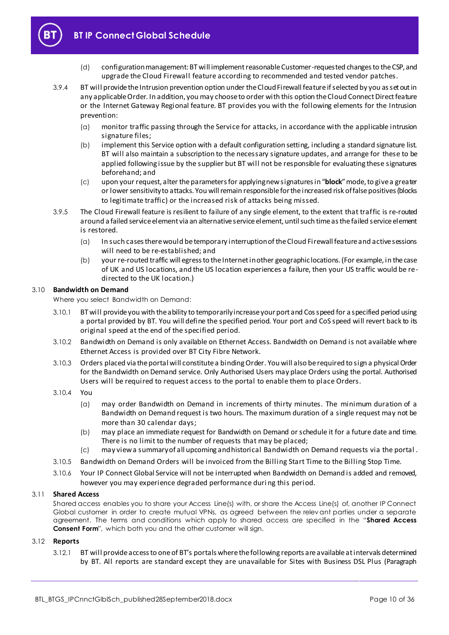**BT IP Connect Global Schedule**

- (d) configuration management: BT will implement reasonable Customer-requested changes to the CSP, and upgrade the Cloud Firewall feature according to recommended and tested vendor patches.
- 3.9.4 BT will provide the Intrusion prevention option under the Cloud Firewall feature if selected by you as set out in any applicable Order. In addition, you may choose to order with this option the Cloud Connect Direct feature or the Internet Gateway Regional feature. BT provides you with the following elements for the Intrusion prevention:
	- (a) monitor traffic passing through the Service for attacks, in accordance with the applicable intrusion signature files;
	- (b) implement this Service option with a default configuration setting, including a standard signature list. BT will also maintain a subscription to the necessary signature updates, and arrange for these to be applied following issue by the supplier but BT will not be responsible for evaluating these signatures beforehand; and
	- (c) upon your request, alter the parameters for applying new signatures in "**block**"mode, to give a greater or lower sensitivity to attacks. You will remain responsible for the increased risk of false positives (blocks to legitimate traffic) or the increased risk of attacks being missed.
- 3.9.5 The Cloud Firewall feature is resilient to failure of any single element, to the extent that traffic is re-routed around a failed service element via an alternative service element, until such time as the failed service element is restored.
	- (a) In such cases there would be temporary interruption of the Cloud Firewall feature and active sessions will need to be re-established; and
	- (b) your re-routed traffic will egress to the Internet in other geographic locations. (For example, in the case of UK and US locations, and the US location experiences a failure, then your US traffic would be redirected to the UK location.)

#### 3.10 **Bandwidth on Demand**

Where you select Bandwidth on Demand:

- 3.10.1 BT will provide you with the ability to temporarily increase your port and Cos speed for a specified period using a portal provided by BT. You will define the specified period. Your port and CoS speed will revert back to its original speed at the end of the specified period.
- 3.10.2 Bandwidth on Demand is only available on Ethernet Access. Bandwidth on Demand is not available where Ethernet Access is provided over BT City Fibre Network.
- 3.10.3 Orders placed via the portal will constitute a binding Order. You will also be required to sign a physical Order for the Bandwidth on Demand service. Only Authorised Users may place Orders using the portal. Authorised Users will be required to request access to the portal to enable them to place Orders.
- 3.10.4 You
	- (a) may order Bandwidth on Demand in increments of thirty minutes. The minimum duration of a Bandwidth on Demand request is two hours. The maximum duration of a single request may not be more than 30 calendar days;
	- (b) may place an immediate request for Bandwidth on Demand or schedule it for a future date and time. There is no limit to the number of requests that may be placed;
	- (c) may view a summary of all upcoming and historical Bandwidth on Demand requests via the portal .
- 3.10.5 Bandwidth on Demand Orders will be invoiced from the Billing Start Time to the Billing Stop Time.
- 3.10.6 Your IP Connect Global Service will not be interrupted when Bandwidth on Demand is added and removed, however you may experience degraded performance duri ng this period.

#### 3.11 **Shared Access**

Shared access enables you to share your Access Line(s) with, or share the Access Line(s) of, another IP Connect Global customer in order to create mutual VPNs, as agreed between the relev ant parties under a separate agreement. The terms and conditions which apply to shared access are specified in the "**Shared Access Consent Form**", which both you and the other customer will sign.

#### 3.12 **Reports**

3.12.1 BT will provide access to one of BT's portals where the following reports are available at intervals determined by BT. All reports are standard except they are unavailable for Sites with Business DSL Plus (Paragraph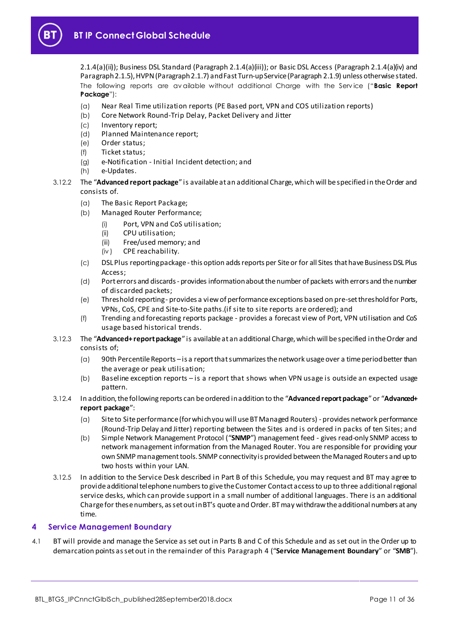

[2.1.4\(a\)\(ii\)](#page-1-6)); Business DSL Standard (Paragrap[h 2.1.4\(a\)\(iii\)](#page-1-7)); or Basic DSL Access (Paragrap[h 2.1.4\(a\)\(iv\)](#page-1-8) and Paragrap[h 2.1.5](#page-2-0)), HVPN (Paragrap[h 2.1.7\)](#page-2-1) and Fast Turn-up Service (Paragrap[h 2.1.9](#page-3-0)) unless otherwise stated. The following reports are av ailable without additional Charge with the Serv ice ("**Basic Report Package**"):

- (a) Near Real Time utilization reports (PE Based port, VPN and COS utilization reports)
- (b) Core Network Round-Trip Delay, Packet Delivery and Jitter
- (c) Inventory report;
- (d) Planned Maintenance report;
- (e) Order status;
- (f) Ticket status;
- (g) e-Notification Initial Incident detection; and
- (h) e-Updates.
- 3.12.2 The "**Advanced report package**" is available at an additional Charge, which will be specified in the Order and consists of.
	- (a) The Basic Report Package;
	- (b) Managed Router Performance;
		- (i) Port, VPN and CoS utilisation;
		- (ii) CPU utilisation;
		- (iii) Free/used memory; and
		- (iv ) CPE reachability.
	- (c) DSL Plus reporting package -this option adds reports per Site or for all Sites that have Business DSL Plus Access;
	- (d) Port errors and discards provides information about the number of packets with errors and the number of discarded packets;
	- (e) Threshold reporting provides a view of performance exceptions based on pre-set threshold for Ports, VPNs, CoS, CPE and Site-to-Site paths.(if site to site reports are ordered); and
	- (f) Trending and forecasting reports package provides a forecast view of Port, VPN utilisation and CoS usage based historical trends.
- 3.12.3 The "**Advanced+ report package**" is available at an additional Charge, which will be specified in the Order and consists of;
	- (a) 90th Percentile Reports –is a report that summarizes the network usage over a time period better than the average or peak utilisation;
	- (b) Baseline exception reports is a report that shows when VPN usage is outside an expected usage pattern.
- 3.12.4 In addition, the following reports can be ordered in addition to the "**Advanced report package**"or "**Advanced+ report package**":
	- (a) Site to Site performance (for which you will use BT Managed Routers) provides network performance (Round-Trip Delay and Jitter) reporting between the Sites and is ordered in packs of ten Sites; and
	- (b) Simple Network Management Protocol ("**SNMP**") management feed gives read-only SNMP access to network management information from the Managed Router. You are responsible for providing your own SNMP management tools. SNMP connectivity is provided between the Managed Routers and up to two hosts within your LAN.
- 3.12.5 In addition to the Service Desk described in Part B of this Schedule, you may request and BT may agree to provide additional telephone numbers to give the Customer Contact access to up to three additional regional service desks, which can provide support in a small number of additional languages. There is an additional Charge for these numbers, as set out in BT's quote and Order. BT may withdraw the additional numbers at any time.

#### <span id="page-10-0"></span>**4 Service Management Boundary**

<span id="page-10-1"></span>4.1 BT will provide and manage the Service as set out in Parts B and C of this Schedule and as set out in the Order up to demarcation points as set out in the remainder of this Paragr[aph](#page-10-0) 4 ("**Service Management Boundary**" or "**SMB**").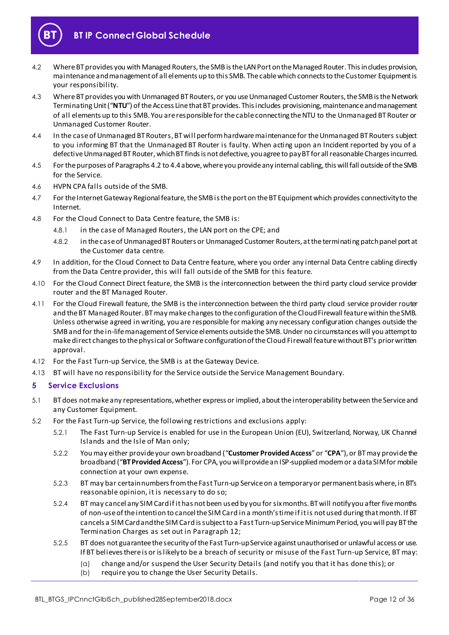

- <span id="page-11-1"></span>4.2 Where BT provides you with Managed Routers, the SMB is the LAN Port on the Managed Router. This includes provision, maintenance and management of all elements up to this SMB. The cable which connects to the Customer Equipment is your responsibility.
- 4.3 Where BT provides you with Unmanaged BT Routers, or you use Unmanaged Customer Routers, the SMB is the Network Terminating Unit ("**NTU**") of the Access Line that BT provides. This includes provisioning, maintenance and management of all elements up to this SMB. You are responsible for the cable connecting the NTU to the Unmanaged BT Router or Unmanaged Customer Router.
- <span id="page-11-2"></span>4.4 In the case of Unmanaged BT Routers, BT will perform hardware maintenance for the Unmanaged BT Routers subject to you informing BT that the Unmanaged BT Router is faulty. When acting upon an Incident reported by you of a defective Unmanaged BT Router, which BT finds is not defective, you agree to pay BT for all reasonable Charges incurred.
- 4.5 For the purposes of Paragraph[s 4.2](#page-11-1) t[o 4.4](#page-11-2)above, where you provide any internal cabling, this will fall outside of the SMB for the Service.
- 4.6 HVPN CPA falls outside of the SMB.
- 4.7 For the Internet Gateway Regional feature, the SMB is the port on the BT Equipment which provides connectivity to the Internet.
- 4.8 For the Cloud Connect to Data Centre feature, the SMB is:
	- 4.8.1 in the case of Managed Routers, the LAN port on the CPE; and
	- 4.8.2 in the case of Unmanaged BT Routers or Unmanaged Customer Routers, at the terminating patch panel port at the Customer data centre.
- 4.9 In addition, for the Cloud Connect to Data Centre feature, where you order any internal Data Centre cabling directly from the Data Centre provider, this will fall outside of the SMB for this feature.
- 4.10 For the Cloud Connect Direct feature, the SMB is the interconnection between the third party cloud service provider router and the BT Managed Router.
- 4.11 For the Cloud Firewall feature, the SMB is the interconnection between the third party cloud service provider router and the BT Managed Router. BT may make changes to the configuration of the Cloud Firewall feature within the SMB. Unless otherwise agreed in writing, you are responsible for making any necessary configuration changes outside the SMB and for the in-life management of Service elements outside the SMB. Under no circumstances will you attempt to make direct changes to the physical or Software configuration of the Cloud Firewall feature without BT's prior written approval.
- 4.12 For the Fast Turn-up Service, the SMB is at the Gateway Device.
- 4.13 BT will have no responsibility for the Service outside the Service Management Boundary.

#### <span id="page-11-0"></span>**5 Service Exclusions**

- 5.1 BT does not make any representations, whether express or implied, about the interoperability between the Service and any Customer Equipment.
- 5.2 For the Fast Turn-up Service, the following restrictions and exclusions apply:
	- 5.2.1 The Fast Turn-up Service is enabled for use in the European Union (EU), Switzerland, Norway, UK Channel Islands and the Isle of Man only;
	- 5.2.2 You may either provide your own broadband ("**Customer Provided Access**"or "**CPA**"), or BT may provide the broadband ("**BT Provided Access**"). For CPA, you will provide an ISP-supplied modem or a data SIM for mobile connection at your own expense.
	- 5.2.3 BT may bar certain numbers from the Fast Turn-up Service on a temporary or permanent basis where, in BT's reasonable opinion, it is necessary to do so;
	- 5.2.4 BT may cancel any SIM Card if it has not been used by you for six months. BT will notify you after five months of non-use of the intention to cancel the SIM Card in a month's time if it is not used during that month. If BT cancels a SIM Card and the SIM Card is subject to a Fast Turn-up Service Minimum Period, you will pay BT the Termination Charges as set out in Paragr[aph](#page-22-0) 12;
	- 5.2.5 BT does not guarantee the security of the Fast Turn-up Service against unauthorised or unlawful access or use. If BT believes there is or is likely to be a breach of security or misuse of the Fast Turn-up Service, BT may:
		- (a) change and/or suspend the User Security Details (and notify you that it has done this); or
		- (b) require you to change the User Security Details.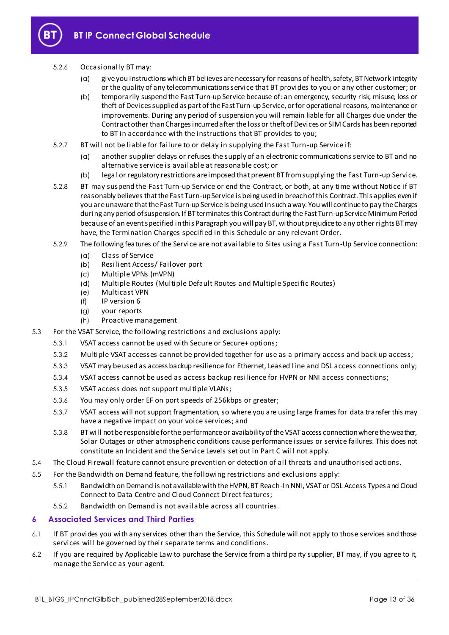

#### 5.2.6 Occasionally BT may:

- (a) give you instructions which BT believes are necessary for reasons of health, safety, BT Network integrity or the quality of any telecommunications service that BT provides to you or any other customer; or
- (b) temporarily suspend the Fast Turn-up Service because of: an emergency, security risk, misuse, loss or theft of Devices supplied as part of the Fast Turn-up Service, or for operational reasons, maintenance or improvements. During any period of suspension you will remain liable for all Charges due under the Contract other than Charges incurred after the loss or theft of Devices or SIM Cards has been reported to BT in accordance with the instructions that BT provides to you;
- 5.2.7 BT will not be liable for failure to or delay in supplying the Fast Turn-up Service if:
	- (a) another supplier delays or refuses the supply of an electronic communications service to BT and no alternative service is available at reasonable cost; or
	- (b) legal or regulatory restrictions are imposed that prevent BT from supplying the Fast Turn-up Service.
- 5.2.8 BT may suspend the Fast Turn-up Service or end the Contract, or both, at any time without Notice if BT reasonably believes that the Fast Turn-up Service is being used in breach of this Contract. This applies even if you are unaware that the Fast Turn-up Service is being usedin such a way. You will continue to pay the Charges during any period of suspension. If BT terminates this Contract during the Fast Turn-up Service Minimum Period because of an event specified in this Paragraph you will pay BT, without prejudice to any other rights BT may have, the Termination Charges specified in this Schedule or any relevant Order.
- 5.2.9 The following features of the Service are not available to Sites using a Fast Turn-Up Service connection:
	- (a) Class of Service
	- (b) Resilient Access/ Failover port
	- (c) Multiple VPNs (mVPN)
	- (d) Multiple Routes (Multiple Default Routes and Multiple Specific Routes)
	- (e) Multicast VPN
	- (f) IP version 6
	- (g) your reports
	- (h) Proactive management
- 5.3 For the VSAT Service, the following restrictions and exclusions apply:
	- 5.3.1 VSAT access cannot be used with Secure or Secure+ options;
	- 5.3.2 Multiple VSAT accesses cannot be provided together for use as a primary access and back up access;
	- 5.3.3 VSAT may be used as access backup resilience for Ethernet, Leased line and DSL access connections only;
	- 5.3.4 VSAT access cannot be used as access backup resilience for HVPN or NNI access connections;
	- 5.3.5 VSAT access does not support multiple VLANs;
	- 5.3.6 You may only order EF on port speeds of 256kbps or greater;
	- 5.3.7 VSAT access will not support fragmentation, so where you are using large frames for data transfer this may have a negative impact on your voice services; and
	- 5.3.8 BT will not be responsible for the performance or availability of the VSAT access connection where the weather, Solar Outages or other atmospheric conditions cause performance issues or service failures. This does not constitute an Incident and the Service Levels set out in Part C will not apply.
- 5.4 The Cloud Firewall feature cannot ensure prevention or detection of all threats and unauthorised actions.
- 5.5 For the Bandwidth on Demand feature, the following restrictions and exclusions apply:
	- 5.5.1 Bandwidth on Demand is not available with the HVPN, BT Reach-In NNI, VSAT or DSL Access Types and Cloud Connect to Data Centre and Cloud Connect Direct features;
	- 5.5.2 Bandwidth on Demand is not available across all countries.

#### <span id="page-12-0"></span>**6 Associated Services and Third Parties**

- 6.1 If BT provides you with any services other than the Service, this Schedule will not apply to those services and those services will be governed by their separate terms and conditions.
- 6.2 If you are required by Applicable Law to purchase the Service from a third party supplier, BT may, if you agree to it, manage the Service as your agent.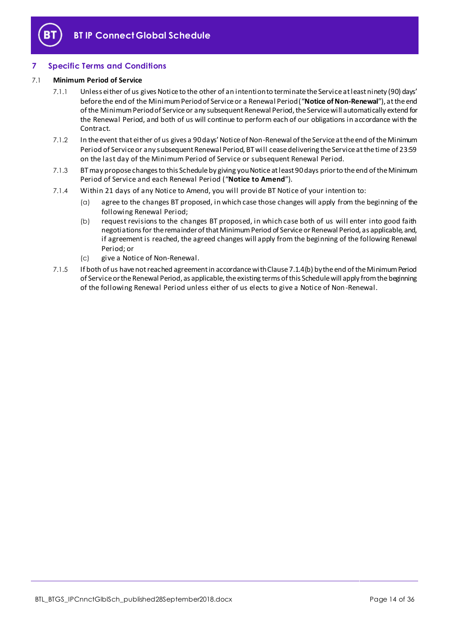

# <span id="page-13-0"></span>**7 Specific Terms and Conditions**

### <span id="page-13-1"></span>7.1 **Minimum Period of Service**

- 7.1.1 Unless either of us gives Notice to the other of an intention to terminate the Service at least ninety (90) days' before the end of the Minimum Period of Service or a Renewal Period ("**Notice of Non-Renewal**"), at the end of the Minimum Period of Service or any subsequent Renewal Period, the Service will automatically extend for the Renewal Period, and both of us will continue to perform each of our obligations in accordance with the Contract.
- 7.1.2 In the event that either of us gives a 90 days' Notice of Non-Renewal of the Service at the end of the Minimum Period of Service or any subsequent Renewal Period, BT will cease delivering the Service at the time of 23:59 on the last day of the Minimum Period of Service or subsequent Renewal Period.
- <span id="page-13-2"></span>7.1.3 BT may propose changes to this Schedule by giving you Notice at least 90 days prior to the end of the Minimum Period of Service and each Renewal Period ("**Notice to Amend**").
- 7.1.4 Within 21 days of any Notice to Amend, you will provide BT Notice of your intention to:
	- (a) agree to the changes BT proposed, in which case those changes will apply from the beginning of the following Renewal Period;
	- (b) request revisions to the changes BT proposed, in which case both of us will enter into good faith negotiations for the remainder of that Minimum Period of Service or Renewal Period, as applicable, and, if agreement is reached, the agreed changes will apply from the beginning of the following Renewal Period; or
	- (c) give a Notice of Non-Renewal.
- 7.1.5 If both of us have not reached agreement in accordance with Clause 7.1.4(b) by the end of the Minimum Period of Service or the Renewal Period, as applicable, the existing terms of this Schedule will apply from the beginning of the following Renewal Period unless either of us elects to give a Notice of Non-Renewal.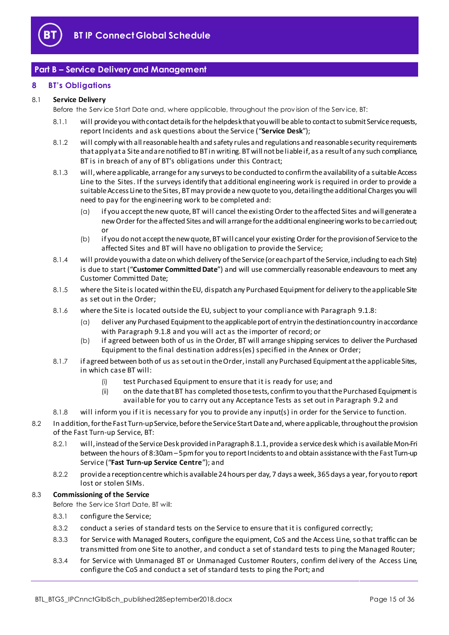

# <span id="page-14-0"></span>**Part B – Service Delivery and Management**

#### <span id="page-14-1"></span>**8 BT's Obligations**

#### <span id="page-14-2"></span>8.1 **Service Delivery**

Before the Serv ice Start Date and, where applicable, throughout the prov ision of the Serv ice, BT:

- 8.1.1 will provide you with contact details for the helpdesk that you will be able to contact to submit Service requests, report Incidents and ask questions about the Service ("**Service Desk**");
- 8.1.2 will comply with all reasonable health and safety rules and regulations and reasonable security requirements that apply at a Site and are notified to BT in writing. BT will not be liable if, as a result of any such compliance, BT is in breach of any of BT's obligations under this Contract;
- 8.1.3 will, where applicable, arrange for any surveys to be conducted to confirm the availability of a suitable Access Line to the Sites. If the surveys identify that additional engineering work is required in order to provide a suitable Access Line to the Sites, BT may provide a new quote to you, detailing the additional Charges you will need to pay for the engineering work to be completed and:
	- (a) if you accept the new quote, BT will cancel the existing Order to the affected Sites and will generate a new Order for the affected Sites and will arrange for the additional engineering works to be carried out; or
	- (b) if you do not accept the new quote, BT will cancel your existing Order for the provision of Service to the affected Sites and BT will have no obligation to provide the Service;
- <span id="page-14-7"></span>8.1.4 will provide you with a date on which delivery of the Service (or each part of the Service, including to each Site) is due to start ("**Customer Committed Date**") and will use commercially reasonable endeavours to meet any Customer Committed Date;
- 8.1.5 where the Site is located within the EU, dispatch any Purchased Equipment for delivery to the applicable Site as set out in the Order;
- 8.1.6 where the Site is located outside the EU, subject to your compliance with Para[graph](#page-16-1) 9.1.8:
	- (a) deliver any Purchased Equipment to the applicable port of entry in the destination country in accordance with Paragrap[h 9.1.8](#page-16-1) and you will act as the importer of record; or
	- (b) if agreed between both of us in the Order, BT will arrange shipping services to deliver the Purchased Equipment to the final destination address(es) specified in the Annex or Order;
- 8.1.7 if agreed between both of us as set out in the Order, install any Purchased Equipment at the applicable Sites, in which case BT will:
	- (i) test Purchased Equipment to ensure that it is ready for use; and
	- (ii) on the date that BT has completed those tests, confirm to you that the Purchased Equipment is available for you to carry out any Acceptance Tests as set out in Par[agrap](#page-18-0)h 9.2 and
- <span id="page-14-5"></span>8.1.8 will inform you if it is necessary for you to provide any input(s) in order for the Service to function.
- <span id="page-14-8"></span>8.2 In addition, for the Fast Turn-up Service, before the Service Start Date and, where applicable, throughout the provision of the Fast Turn-up Service, BT:
	- 8.2.1 will, instead of the Service Desk provided in Paragrap[h 8.1.1](#page-14-2), provide a service desk which is available Mon-Fri between the hours of 8:30am –5pm for you to report Incidents to and obtain assistance with the Fast Turn-up Service ("**Fast Turn-up Service Centre**"); and
	- 8.2.2 provide a reception centre which is available 24 hours per day, 7 days a week, 365 days a year, for you to report lost or stolen SIMs.

#### <span id="page-14-6"></span>8.3 **Commissioning of the Service**

Before the Serv ice Start Date, BT will:

- 8.3.1 configure the Service;
- 8.3.2 conduct a series of standard tests on the Service to ensure that it is configured correctly;
- <span id="page-14-3"></span>8.3.3 for Service with Managed Routers, configure the equipment, CoS and the Access Line, so that traffic can be transmitted from one Site to another, and conduct a set of standard tests to ping the Managed Router;
- <span id="page-14-4"></span>8.3.4 for Service with Unmanaged BT or Unmanaged Customer Routers, confirm del ivery of the Access Line, configure the CoS and conduct a set of standard tests to ping the Port; and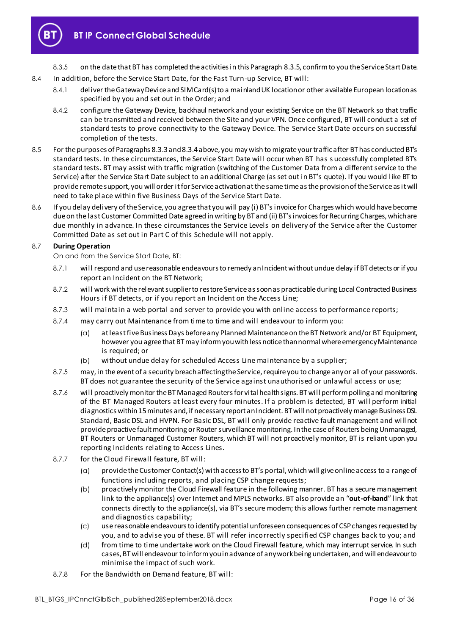

8.3.5 on the date that BT has completed the activities in this Paragrap[h 8.3.5](#page-15-0), confirm to you the Service Start Date.

- <span id="page-15-0"></span>8.4 In addition, before the Service Start Date, for the Fast Turn-up Service, BT will:
	- 8.4.1 deliver the Gateway Device and SIM Card(s) to a mainland UK location or other available European location as specified by you and set out in the Order; and
	- 8.4.2 configure the Gateway Device, backhaul network and your existing Service on the BT Network so that traffic can be transmitted and received between the Site and your VPN. Once configured, BT will conduct a set of standard tests to prove connectivity to the Gateway Device. The Service Start Date occurs on successful completion of the tests.
- 8.5 For the purposes of Paragraph[s 8.3.3](#page-14-3) an[d 8.3.4](#page-14-4) above, you may wish to migrate your traffic after BT has conducted BT's standard tests. In these circumstances, the Service Start Date will occur when BT has s uccessfully completed BT's standard tests. BT may assist with traffic migration (switching of the Customer Data from a different service to the Service) after the Service Start Date subject to an additional Charge (as set out in BT's quote). If you would like BT to provide remote support, you will order it for Service activation at the same time as the provision of the Service as it will need to take place within five Business Days of the Service Start Date.
- 8.6 If you delay delivery of the Service, you agree that you will pay (i) BT's invoice for Charges which would have become due on the last Customer Committed Date agreed in writing by BT and (ii) BT's invoices for Recurring Charges, which are due monthly in advance. In these circumstances the Service Levels on delivery of the Service after the Customer Committed Date as set out in Part C of this Schedule will not apply.

#### <span id="page-15-1"></span>8.7 **During Operation**

On and from the Serv ice Start Date, BT:

- 8.7.1 will respond and use reasonable endeavours to remedy an Incident without undue delay if BT detects or if you report an Incident on the BT Network;
- <span id="page-15-2"></span>8.7.2 will work with the relevant supplier to restore Service as soon as practicable during Local Contracted Business Hours if BT detects, or if you report an Incident on the Access Line;
- 8.7.3 will maintain a web portal and server to provide you with online access to performance reports;
- 8.7.4 may carry out Maintenance from time to time and will endeavour to inform you:
	- (a) at least five Business Days before any Planned Maintenance on the BT Network and/or BT Equipment, however you agree that BT may inform you with less notice than normal where emergency Maintenance is required; or
	- (b) without undue delay for scheduled Access Line maintenance by a supplier;
- 8.7.5 may, in the event of a security breach affecting the Service, require you to change any or all of your passwords. BT does not guarantee the security of the Service against unauthorised or unlawful access or use;
- 8.7.6 will proactively monitor the BT Managed Routers for vital health signs. BT will perform polling and monitoring of the BT Managed Routers at least every four minutes. If a problem is detected, BT will perform initial diagnostics within 15 minutes and, if necessary report an Incident. BT will not proactively manage Business DSL Standard, Basic DSL and HVPN. For Basic DSL, BT will only provide reactive fault management and will not provide proactive fault monitoring or Router surveillance monitoring. In the case of Routers being Unmanaged, BT Routers or Unmanaged Customer Routers, which BT will not proactively monitor, BT is reliant upon you reporting Incidents relating to Access Lines.
- 8.7.7 for the Cloud Firewall feature, BT will:
	- (a) provide the Customer Contact(s) with access to BT's portal, which will give online access to a range of functions including reports, and placing CSP change requests;
	- (b) proactively monitor the Cloud Firewall feature in the following manner. BT has a secure management link to the appliance(s) over Internet and MPLS networks. BT also provide an "**out-of-band**" link that connects directly to the appliance(s), via BT's secure modem; this allows further remote management and diagnostics capability;
	- (c) use reasonable endeavours to identify potential unforeseen consequences of CSP changes requested by you, and to advise you of these. BT will refer incorrectly specified CSP changes back to you; and
	- (d) from time to time undertake work on the Cloud Firewall feature, which may interrupt service. In such cases, BT will endeavour to inform you in advance of any work being undertaken, and will endeavour to minimise the impact of such work.
- 8.7.8 For the Bandwidth on Demand feature, BT will: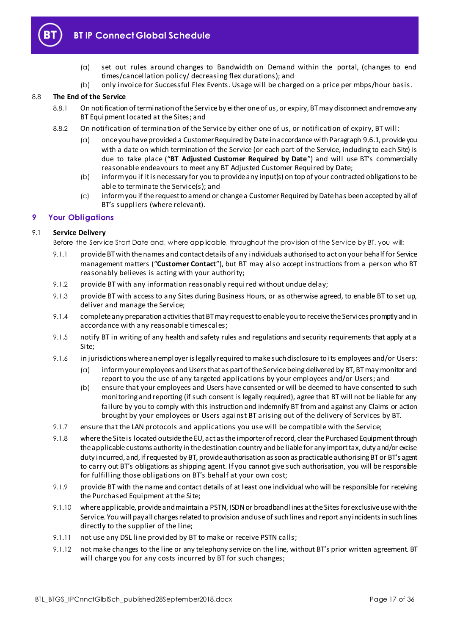

# **BT IP Connect Global Schedule**

- (a) set out rules around changes to Bandwidth on Demand within the portal, (changes to end times/cancellation policy/ decreasing flex durations); and
- (b) only invoice for Successful Flex Events. Usage will be charged on a price per mbps/hour basis.

### 8.8 **The End of the Service**

- 8.8.1 On notification of termination of the Service by either one of us, or expiry, BT may disconnect and remove any BT Equipment located at the Sites; and
- 8.8.2 On notification of termination of the Service by either one of us, or notification of expiry, BT will:
	- (a) once you have provided a Customer Required by Date in accordance with Paragrap[h 9.6.1](#page-20-0), provide you with a date on which termination of the Service (or each part of the Service, including to each Site) is due to take place ("**BT Adjusted Customer Required by Date**") and will use BT's commercially reasonable endeavours to meet any BT Adjusted Customer Required by Date;
	- (b) inform you if it is necessary for you to provide any input(s) on top of your contracted obligations to be able to terminate the Service(s); and
	- (c) inform you if the request to amend or change a Customer Required by Date has been accepted by all of BT's suppliers (where relevant).

### <span id="page-16-0"></span>**9 Your Obligations**

### <span id="page-16-2"></span>9.1 **Service Delivery**

Before the Serv ice Start Date and, where applicable, throughout the prov ision of the Serv ice by BT, you will:

- 9.1.1 provide BT with the names and contact details of any individuals authorised to act on your behalf for Service management matters ("**Customer Contact**"), but BT may also accept instructions from a person who BT reasonably believes is acting with your authority;
- 9.1.2 provide BT with any information reasonably required without undue delay;
- 9.1.3 provide BT with access to any Sites during Business Hours, or as otherwise agreed, to enable BT to set up, deliver and manage the Service;
- 9.1.4 complete any preparation activities that BT may request to enable you to receive the Services promptly and in accordance with any reasonable timescales;
- 9.1.5 notify BT in writing of any health and safety rules and regulations and security requirements that apply at a Site;
- 9.1.6 in jurisdictions where an employer is legally required to make such disclosure to its employees and/or Users:
	- (a) inform your employees and Users that as part of the Service being delivered by BT, BT may monitor and report to you the use of any targeted applications by your employees and/or Users; and
	- (b) ensure that your employees and Users have consented or will be deemed to have consented to such monitoring and reporting (if such consent is legally required), agree that BT will not be liable for any failure by you to comply with this instruction and indemnify BT from and against any Claims or action brought by your employees or Users against BT arising out of the delivery of Services by BT.
- 9.1.7 ensure that the LAN protocols and applications you use will be compatible with the Service;
- <span id="page-16-1"></span>9.1.8 where the Site is located outside the EU, act as the importer of record, clear the Purchased Equipment through the applicable customs authority in the destination country and be liable for any import tax, duty and/or excise duty incurred, and, if requested by BT, provide authorisation as soon as practicable authorising BT or BT's agent to carry out BT's obligations as shipping agent. If you cannot give such authorisation, you will be responsible for fulfilling those obligations on BT's behalf at your own cost;
- 9.1.9 provide BT with the name and contact details of at least one individual who will be responsible for receiving the Purchased Equipment at the Site;
- 9.1.10 where applicable, provide and maintain a PSTN, ISDN or broadband lines at the Sites for exclusive use with the Service. You will pay all charges related to provision and use of such lines and report any incidents in such lines directly to the supplier of the line;
- 9.1.11 not use any DSL line provided by BT to make or receive PSTN calls;
- 9.1.12 not make changes to the line or any telephony service on the line, without BT's prior written agreement. BT will charge you for any costs incurred by BT for such changes;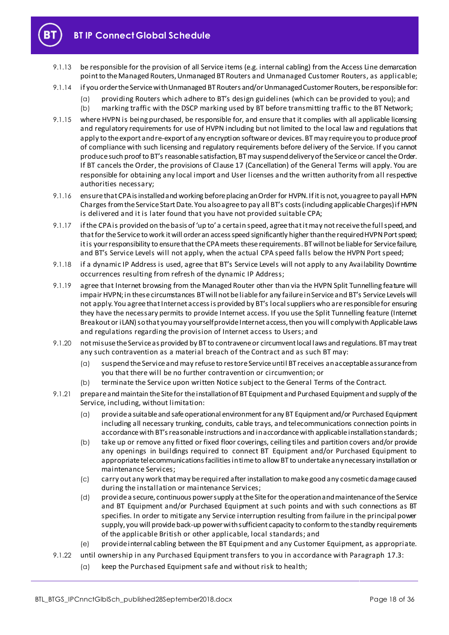

- 9.1.13 be responsible for the provision of all Service items (e.g. internal cabling) from the Access Line demarcation point to the Managed Routers, Unmanaged BT Routers and Unmanaged Customer Routers, as applicable;
- 9.1.14 if you order the Service with Unmanaged BT Routers and/or Unmanaged Customer Routers, be responsible for:
	- (a) providing Routers which adhere to BT's design guidelines (which can be provided to you); and (b) marking traffic with the DSCP marking used by BT before transmitting traffic to the BT Network;
- 9.1.15 where HVPN is being purchased, be responsible for, and ensure that it complies with all applicable licensing and regulatory requirements for use of HVPN including but not limited to the local law and regulations that apply to the export and re-export of any encryption software or devices. BT may require you to produce proof of compliance with such licensing and regulatory requirements before delivery of the Service. If you cannot produce such proof to BT's reasonable satisfaction, BT may suspend delivery of the Service or cancel the Order. If BT cancels the Order, the provisions of Clause 17 (Cancellation) of the General Terms will apply. You are responsible for obtaining any local import and User licenses and the written authority from all respective authorities necessary;
- 9.1.16 ensure that CPA is installed and working before placing an Order for HVPN. If it is not, you agree to pay all HVPN Charges from the Service Start Date. You also agree to pay all BT's costs (including applicable Charges) if HVPN is delivered and it is later found that you have not provided suitable CPA;
- 9.1.17 if the CPA is provided on the basis of 'up to' a certain speed, agree that it may not receive the full speed, and that for the Service to work it will order an access speed significantly higher than the required HVPN Port speed; it is your responsibility to ensure that the CPA meets these requirements. BT will not be liable for Service failure, and BT's Service Levels will not apply, when the actual CPA speed falls below the HVPN Port speed;
- 9.1.18 if a dynamic IP Address is used, agree that BT's Service Levels will not apply to any Availability Downtime occurrences resulting from refresh of the dynamic IP Address;
- 9.1.19 agree that Internet browsing from the Managed Router other than via the HVPN Split Tunnelling feature will impair HVPN; in these circumstances BT will not be liable for any failure in Service and BT's Service Levels will not apply. You agree that Internet access is provided by BT's local suppliers who are responsible for ensuring they have the necessary permits to provide Internet access. If you use the Split Tunnelling feature (Internet Breakout or iLAN) so that you may yourself provide Internet access, then you will comply with Applicable Laws and regulations regarding the provision of Internet access to Users; and
- 9.1.20 not misuse the Service as provided by BT to contravene or circumvent local laws and regulations. BT may treat any such contravention as a material breach of the Contract and as such BT may:
	- (a) suspend the Service and may refuse to restore Service until BT receives an acceptable assurance from you that there will be no further contravention or circumvention; or
	- (b) terminate the Service upon written Notice subject to the General Terms of the Contract.
- 9.1.21 prepare and maintain the Site for the installation of BT Equipment and Purchased Equipment and supply of the Service, including, without limitation:
	- (a) provide a suitable and safe operational environment for any BT Equipment and/or Purchased Equipment including all necessary trunking, conduits, cable trays, and telecommunications connection points in accordance with BT's reasonable instructions and in accordance with applicable installation standards;
	- (b) take up or remove any fitted or fixed floor coverings, ceiling tiles and partition covers and/or provide any openings in buildings required to connect BT Equipment and/or Purchased Equipment to appropriate telecommunications facilities in time to allow BT to undertake any necessary installation or maintenance Services;
	- (c) carry out any work that may be required after installation to make good any cosmetic damage caused during the installation or maintenance Services;
	- (d) provide a secure, continuous power supply at the Site for the operation and maintenance of the Service and BT Equipment and/or Purchased Equipment at such points and with such connections as BT specifies. In order to mitigate any Service interruption resulting from failure in the principal power supply, you will provide back-up power with sufficient capacity to conform to the standby requirements of the applicable British or other applicable, local standards; and
	- (e) provide internal cabling between the BT Equipment and any Customer Equipment, as appropriate.
- 9.1.22 until ownership in any Purchased Equipment transfers to you in accordance with Pa[ragrap](#page-24-2)h 17.3:
	- (a) keep the Purchased Equipment safe and without risk to health;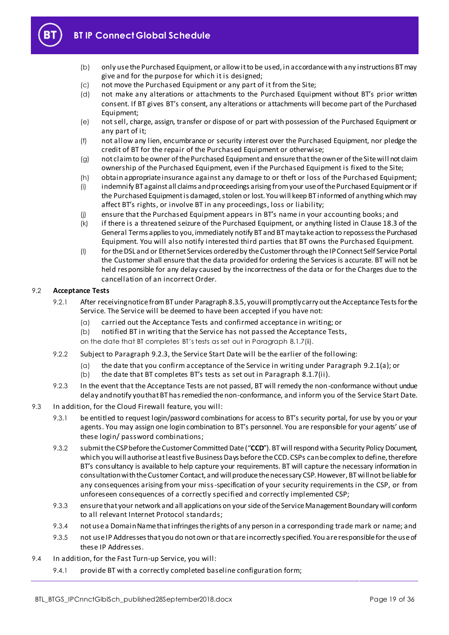

# **BT IP Connect Global Schedule**

- (b) only use the Purchased Equipment, or allow it to be used, in accordance with any instructions BT may give and for the purpose for which it is designed;
- (c) not move the Purchased Equipment or any part of it from the Site;
- (d) not make any alterations or attachments to the Purchased Equipment without BT's prior written consent. If BT gives BT's consent, any alterations or attachments will become part of the Purchased Equipment;
- (e) not sell, charge, assign, transfer or dispose of or part with possession of the Purchased Equipment or any part of it;
- (f) not allow any lien, encumbrance or security interest over the Purchased Equipment, nor pledge the credit of BT for the repair of the Purchased Equipment or otherwise;
- (g) not claim to be owner of the Purchased Equipment and ensure that the owner of the Site will not claim ownership of the Purchased Equipment, even if the Purchased Equipment is fixed to the Site;
- (h) obtain appropriate insurance against any damage to or theft or loss of the Purchased Equipment;
- (i) indemnify BT against all claims and proceedings arising from your use of the Purchased Equipment or if the Purchased Equipment is damaged, stolen or lost. You will keep BT informed of anything which may affect BT's rights, or involve BT in any proceedings, loss or liability;
- (j) ensure that the Purchased Equipment appears in BT's name in your accounting books; and
- (k) if there is a threatened seizure of the Purchased Equipment, or anything listed in Clause 18.3 of the General Terms applies to you, immediately notify BT and BT may take action to repossess the Purchased Equipment. You will also notify interested third parties that BT owns the Purchased Equipment.
- (I) for the DSL and or Ethernet Services ordered by the Customer through the IP Connect Self Service Portal the Customer shall ensure that the data provided for ordering the Services is accurate. BT will not be held responsible for any delay caused by the incorrectness of the data or for the Charges due to the cancellation of an incorrect Order.

#### <span id="page-18-0"></span>9.2 **Acceptance Tests**

- <span id="page-18-2"></span>9.2.1 After receiving notice from BT under Paragrap[h 8.3.5](#page-15-0), you will promptly carry out the Acceptance Tests for the Service. The Service will be deemed to have been accepted if you have not:
	- (a) carried out the Acceptance Tests and confirmed acceptance in writing; or
	- (b) notified BT in writing that the Service has not passed the Acceptance Tests,
	- on the date that BT completes BT's tests as set out in Paragraph [8.1.7\(ii\).](#page-14-5)
- <span id="page-18-4"></span>9.2.2 Subject to Paragra[ph 9.2.](#page-18-1)3, the Service Start Date will be the earlier of the following:
	- (a) the date that you confirm acceptance of the Service in writing under Para[graph 9.2](#page-18-2).1(a); or
	- (b) the date that BT completes BT's tests as set out in Paragr[aph](#page-14-5) 8.1.7(ii).
- <span id="page-18-1"></span>9.2.3 In the event that the Acceptance Tests are not passed, BT will remedy the non-conformance without undue delay and notify you that BT has remedied the non-conformance, and inform you of the Service Start Date.
- 9.3 In addition, for the Cloud Firewall feature, you will:
	- 9.3.1 be entitled to request login/password combinations for access to BT's security portal, for use by you or your agents. You may assign one login combination to BT's personnel. You are responsible for your agents' use of these login/ password combinations;
	- 9.3.2 submit the CSP before the Customer Committed Date ("**CCD**"). BT will respond with a Security Policy Document, which you will authorise at least five Business Days before the CCD. CSPs can be complex to define, therefore BT's consultancy is available to help capture your requirements. BT will capture the necessary information in consultation with the Customer Contact, and will produce the necessary CSP. However, BT will not be liable for any consequences arising from your miss-specification of your security requirements in the CSP, or from unforeseen consequences of a correctly specified and correctly implemented CSP;
	- 9.3.3 ensure that your network and all applications on your side of the Service Management Boundary will conform to all relevant Internet Protocol standards;
	- 9.3.4 not use a Domain Name that infringes the rights of any person in a corresponding trade mark or name; and
	- 9.3.5 not use IP Addresses that you do not own or that are incorrectly specified. You are responsible for the use of these IP Addresses.
- <span id="page-18-3"></span>9.4 In addition, for the Fast Turn-up Service, you will:
	- 9.4.1 provide BT with a correctly completed baseline configuration form;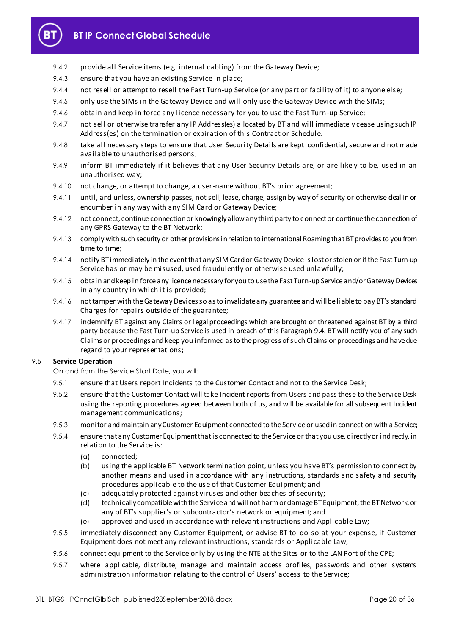

- 9.4.2 provide all Service items (e.g. internal cabling) from the Gateway Device;
- 9.4.3 ensure that you have an existing Service in place;
- 9.4.4 not resell or attempt to resell the Fast Turn-up Service (or any part or facility of it) to anyone else;
- 9.4.5 only use the SIMs in the Gateway Device and will only use the Gateway Device with the SIMs;
- 9.4.6 obtain and keep in force any licence necessary for you to use the Fast Turn-up Service;
- 9.4.7 not sell or otherwise transfer any IP Address(es) allocated by BT and will immediately cease using such IP Address(es) on the termination or expiration of this Contract or Schedule.
- 9.4.8 take all necessary steps to ensure that User Security Details are kept confidential, secure and not made available to unauthorised persons;
- 9.4.9 inform BT immediately if it believes that any User Security Details are, or are likely to be, used in an unauthorised way;
- 9.4.10 not change, or attempt to change, a user-name without BT's prior agreement;
- 9.4.11 until, and unless, ownership passes, not sell, lease, charge, assign by way of security or otherwise deal in or encumber in any way with any SIM Card or Gateway Device;
- 9.4.12 not connect, continue connection or knowingly allow any third party to connect or continue the connection of any GPRS Gateway to the BT Network;
- 9.4.13 comply with such security or other provisions in relation to international Roaming that BT provides to you from time to time;
- 9.4.14 notify BT immediately in the event that any SIM Card or Gateway Device is lost or stolen or if the Fast Turn-up Service has or may be misused, used fraudulently or otherwise used unlawfully;
- 9.4.15 obtain and keep in force any licence necessary for you to use the Fast Turn-up Service and/or Gateway Devices in any country in which it is provided;
- 9.4.16 not tamper with the Gateway Devices so as to invalidate any guarantee and will be liable to pay BT's standard Charges for repairs outside of the guarantee;
- 9.4.17 indemnify BT against any Claims or legal proceedings which are brought or threatened against BT by a third party because the Fast Turn-up Service is used in breach of this Paragrap[h 9.4](#page-18-3). BT will notify you of any such Claims or proceedings and keep you informed as to the progress of such Claims or proceedings and have due regard to your representations;

#### 9.5 **Service Operation**

On and from the Serv ice Start Date, you will:

- 9.5.1 ensure that Users report Incidents to the Customer Contact and not to the Service Desk;
- 9.5.2 ensure that the Customer Contact will take Incident reports from Users and pass these to the Service Desk using the reporting procedures agreed between both of us, and will be available for all subsequent Incident management communications;
- 9.5.3 monitor and maintain any Customer Equipment connected to the Service or used in connection with a Service;
- 9.5.4 ensure that any Customer Equipment that is connected to the Service or that you use, directly or indirectly, in relation to the Service is:
	- (a) connected;
	- (b) using the applicable BT Network termination point, unless you have BT's permission to connect by another means and used in accordance with any instructions, standards and safety and security procedures applicable to the use of that Customer Equipment; and
	- (c) adequately protected against viruses and other beaches of security;
	- (d) technically compatible with the Service and will not harm or damage BT Equipment, the BT Network, or any of BT's supplier's or subcontractor's network or equipment; and
	- (e) approved and used in accordance with relevant instructions and Applicable Law;
- 9.5.5 immediately disconnect any Customer Equipment, or advise BT to do so at your expense, if Customer Equipment does not meet any relevant instructions, standards or Applicable Law;
- 9.5.6 connect equipment to the Service only by using the NTE at the Sites or to the LAN Port of the CPE;
- 9.5.7 where applicable, distribute, manage and maintain access profiles, passwords and other systems administration information relating to the control of Users' access to the Service;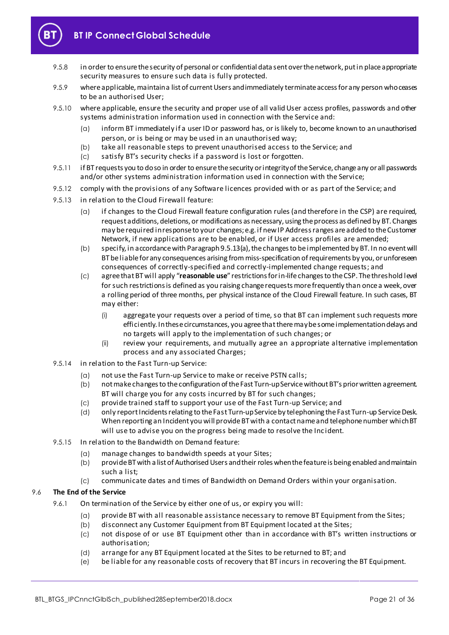

- 9.5.8 in order to ensure the security of personal or confidential data sent over the network, put in place appropriate security measures to ensure such data is fully protected.
- 9.5.9 where applicable, maintain a list of current Users and immediately terminate access for any person who ceases to be an authorised User;
- 9.5.10 where applicable, ensure the security and proper use of all valid User access profiles, passwords and other systems administration information used in connection with the Service and:
	- (a) inform BT immediately if a user ID or password has, or is likely to, become known to an unauthorised person, or is being or may be used in an unauthorised way;
	- (b) take all reasonable steps to prevent unauthorised access to the Service; and
	- (c) satisfy BT's security checks if a password is lost or forgotten.
- 9.5.11 if BT requests you to do so in order to ensure the security or integrity of the Service, change any or all passwords and/or other systems administration information used in connection with the Service;
- 9.5.12 comply with the provisions of any Software licences provided with or as part of the Service; and
- <span id="page-20-1"></span>9.5.13 in relation to the Cloud Firewall feature:
	- (a) if changes to the Cloud Firewall feature configuration rules (and therefore in the CSP) are required, request additions, deletions, or modifications as necessary, using the process as defined by BT. Changes may be required in response to your changes; e.g. if new IP Address ranges are added to the Customer Network, if new applications are to be enabled, or if User access profiles are amended;
	- (b) specify, in accordance with Paragrap[h 9.5.13\(a\)](#page-20-1), the changes to be implemented by BT. In no event will BT be liable for any consequences arising from miss-specification of requirements by you, or unforeseen consequences of correctly-specified and correctly-implemented change requests; and
	- (c) agree that BT will apply "**reasonable use**" restrictions for in-life changes to the CSP. The threshold level for such restrictions is defined as you raising change requests more frequently than once a week, over a rolling period of three months, per physical instance of the Cloud Firewall feature. In such cases, BT may either:
		- (i) aggregate your requests over a period of time, so that BT can implement such requests more efficiently. In these circumstances, you agree that there may be some implementation delays and no targets will apply to the implementation of such changes; or
		- (ii) review your requirements, and mutually agree an appropriate alternative implementation process and any associated Charges;
- 9.5.14 in relation to the Fast Turn-up Service:
	- (a) not use the Fast Turn-up Service to make or receive PSTN calls;
	- (b) notmake changes to the configuration of the Fast Turn-up Service without BT's prior written agreement. BT will charge you for any costs incurred by BT for such changes;
	- (c) provide trained staff to support your use of the Fast Turn-up Service; and
	- (d) only report Incidents relating to the Fast Turn-up Service by telephoning the Fast Turn-up Service Desk. When reporting an Incident you will provide BT with a contact name and telephone number which BT will use to advise you on the progress being made to resolve the Incident.
- 9.5.15 In relation to the Bandwidth on Demand feature:
	- (a) manage changes to bandwidth speeds at your Sites;
	- (b) provide BT with a list of Authorised Users and their roles when the feature is being enabled and maintain such a list;
	- (c) communicate dates and times of Bandwidth on Demand Orders within your organisation.

#### <span id="page-20-0"></span>9.6 **The End of the Service**

- 9.6.1 On termination of the Service by either one of us, or expiry you will:
	- (a) provide BT with all reasonable assistance necessary to remove BT Equipment from the Sites;
	- (b) disconnect any Customer Equipment from BT Equipment located at the Sites;
	- (c) not dispose of or use BT Equipment other than in accordance with BT's written instructions or authorisation;
	- (d) arrange for any BT Equipment located at the Sites to be returned to BT; and
	- (e) be liable for any reasonable costs of recovery that BT incurs in recovering the BT Equipment.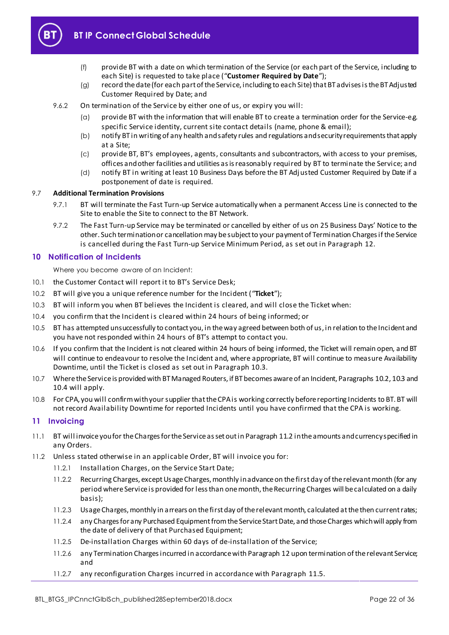<span id="page-21-5"></span>

- (f) provide BT with a date on which termination of the Service (or each part of the Service, including to each Site) is requested to take place ("**Customer Required by Date**");
- (g) record the date (for each part of the Service, including to each Site) that BT advises is the BT Adjusted Customer Required by Date; and
- 9.6.2 On termination of the Service by either one of us, or expiry you will:
	- (a) provide BT with the information that will enable BT to create a termination order for the Service-e.g. specific Service identity, current site contact details (name, phone & email);
	- (b) notify BT in writing of any health and safety rules and regulations and security requirements that apply at a Site;
	- (c) provide BT, BT's employees, agents, consultants and subcontractors, with access to your premises, offices and other facilities and utilities as is reasonably required by BT to terminate the Service; and
	- (d) notify BT in writing at least 10 Business Days before the BT Adjusted Customer Required by Date if a postponement of date is required.

#### 9.7 **Additional Termination Provisions**

- 9.7.1 BT will terminate the Fast Turn-up Service automatically when a permanent Access Line is connected to the Site to enable the Site to connect to the BT Network.
- 9.7.2 The Fast Turn-up Service may be terminated or cancelled by either of us on 25 Business Days' Notice to the other. Such termination or cancellation may be subject to your payment of Termination Charges if the Service is cancelled during the Fast Turn-up Service Minimum Period, as set out in Par[agra](#page-22-0)ph 12.

#### <span id="page-21-0"></span>**10 Notification of Incidents**

Where you become aware of an Incident:

- 10.1 the Customer Contact will report it to BT's Service Desk;
- <span id="page-21-3"></span>10.2 BT will give you a unique reference number for the Incident ("**Ticket**");
- <span id="page-21-2"></span>10.3 BT will inform you when BT believes the Incident is cleared, and will close the Ticket when:
- 10.4 you confirm that the Incident is cleared within 24 hours of being informed; or
- 10.5 BT has attempted unsuccessfully to contact you, in the way agreed between both of us, in relation to the Incident and you have not responded within 24 hours of BT's attempt to contact you.
- 10.6 If you confirm that the Incident is not cleared within 24 hours of being informed, the Ticket will remain open, and BT will continue to endeavour to resolve the Incident and, where appropriate, BT will continue to measure Availability Downtime, until the Ticket is closed as set out in Parag[raph](#page-21-2) 10.3.
- 10.7 Where the Service is provided with BT Managed Routers, if BT becomes aware of an Incident, Paragraph[s 10.2](#page-21-3)[, 10.3](#page-21-2) and 10.4 will apply.
- 10.8 For CPA, you will confirm with your supplier that the CPA is working correctly before reporting Incidents to BT. BT will not record Availability Downtime for reported Incidents until you have confirmed that the CPA is working.

#### <span id="page-21-1"></span>**11 Invoicing**

- 11.1 BT will invoice you for the Charges for the Service as set out in Paragrap[h 11.2](#page-21-4) in the amounts and currency specified in any Orders.
- <span id="page-21-4"></span>11.2 Unless stated otherwise in an applicable Order, BT will invoice you for:
	- 11.2.1 Installation Charges, on the Service Start Date;
	- 11.2.2 Recurring Charges, except Usage Charges, monthly in advance on the first day of the relevant month (for any period where Service is provided for less than one month, the Recurring Charges will be calculated on a daily basis);
	- 11.2.3 Usage Charges, monthly in arrears on the first day of the relevant month, calculated at the then current rates;
	- 11.2.4 any Charges for any Purchased Equipment from the Service Start Date, and those Charges which will apply from the date of delivery of that Purchased Equipment;
	- 11.2.5 De-installation Charges within 60 days of de-installation of the Service;
	- 11.2.6 any Termination Charges incurred in accordance with Paragrap[h 12](#page-22-0) upon termination of the relevant Service; and
	- 11.2.7 any reconfiguration Charges incurred in accordance with Para[graph](#page-22-1) 11.5.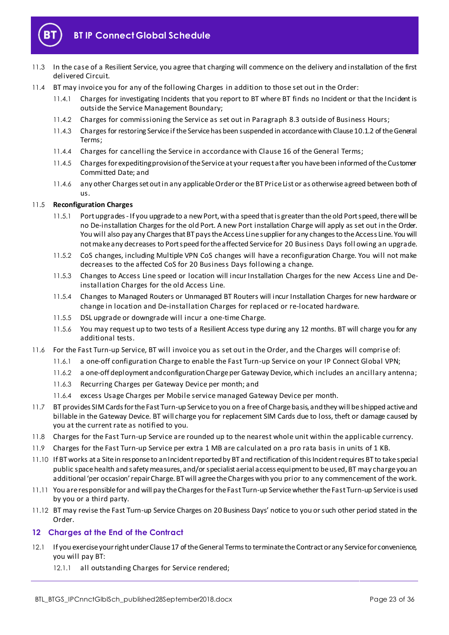

- 11.3 In the case of a Resilient Service, you agree that charging will commence on the delivery and installation of the first delivered Circuit.
- 11.4 BT may invoice you for any of the following Charges in addition to those set out in the Order:
	- 11.4.1 Charges for investigating Incidents that you report to BT where BT finds no Incident or that the Incident is outside the Service Management Boundary;
	- 11.4.2 Charges for commissioning the Service as set out in Para[graph](#page-14-6) 8.3 outside of Business Hours;
	- 11.4.3 Charges for restoring Service if the Service has been suspended in accordance with Clause 10.1.2 of the General Terms;
	- 11.4.4 Charges for cancelling the Service in accordance with Clause 16 of the General Terms;
	- 11.4.5 Charges for expediting provision of the Service at your request after you have been informed of the Customer Committed Date; and
	- 11.4.6 any other Charges set out in any applicable Order or the BT Price List or as otherwise agreed between both of us.

#### <span id="page-22-1"></span>11.5 **Reconfiguration Charges**

- 11.5.1 Port upgrades If you upgrade to a new Port, with a speed that is greater than the old Port speed, there will be no De-installation Charges for the old Port. A new Port installation Charge will apply as set out in the Order. You will also pay any Charges that BT pays the Access Line supplier for any changes to the Access Line. You will not make any decreases to Port speed for the affected Service for 20 Business Days foll owing an upgrade.
- 11.5.2 CoS changes, including Multiple VPN CoS changes will have a reconfiguration Charge. You will not make decreases to the affected CoS for 20 Business Days following a change.
- 11.5.3 Changes to Access Line speed or location will incur Installation Charges for the new Access Line and Deinstallation Charges for the old Access Line.
- 11.5.4 Changes to Managed Routers or Unmanaged BT Routers will incur Installation Charges for new hardware or change in location and De-installation Charges for replaced or re-located hardware.
- 11.5.5 DSL upgrade or downgrade will incur a one-time Charge.
- 11.5.6 You may request up to two tests of a Resilient Access type during any 12 months. BT will charge you for any additional tests.
- 11.6 For the Fast Turn-up Service, BT will invoice you as set out in the Order, and the Charges will comprise of:
	- 11.6.1 a one-off configuration Charge to enable the Fast Turn-up Service on your IP Connect Global VPN;
	- 11.6.2 a one-off deployment and configuration Charge per Gateway Device, which includes an ancillary antenna;
	- 11.6.3 Recurring Charges per Gateway Device per month; and
	- 11.6.4 excess Usage Charges per Mobile service managed Gateway Device per month.
- 11.7 BT provides SIM Cards for the Fast Turn-up Service to you on a free of Charge basis, and they will be shipped active and billable in the Gateway Device. BT will charge you for replacement SIM Cards due to loss, theft or damage caused by you at the current rate as notified to you.
- 11.8 Charges for the Fast Turn-up Service are rounded up to the nearest whole unit within the applicable currency.
- 11.9 Charges for the Fast Turn-up Service per extra 1 MB are calculated on a pro rata basis in units of 1 KB.
- 11.10 If BT works at a Site in response to an Incident reported by BT and rectification of this Incident requires BT to take special public space health and safety measures, and/or specialist aerial access equipment to be used, BT may charge you an additional 'per occasion' repair Charge. BT will agree the Charges with you prior to any commencement of the work.
- 11.11 You are responsible for and will pay the Charges for the Fast Turn-up Service whether the Fast Turn-up Service is used by you or a third party.
- 11.12 BT may revise the Fast Turn-up Service Charges on 20 Business Days' notice to you or such other period stated in the Order.

#### <span id="page-22-0"></span>**12 Charges at the End of the Contract**

- <span id="page-22-2"></span>12.1 If you exercise your right under Clause 17 of the General Terms to terminate the Contract or any Service for convenience, you will pay BT:
	- 12.1.1 all outstanding Charges for Service rendered;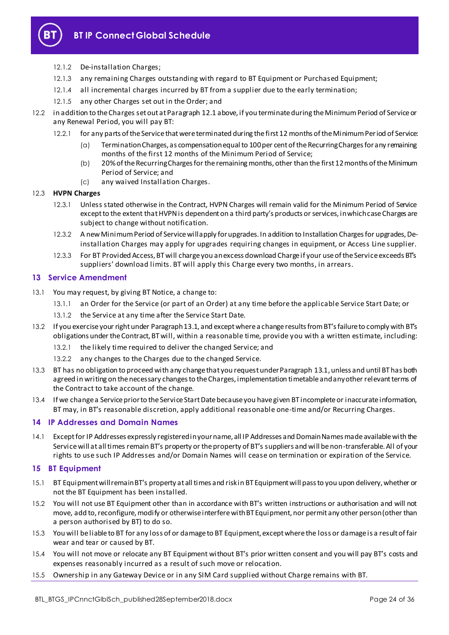

- 12.1.2 De-installation Charges;
- 12.1.3 any remaining Charges outstanding with regard to BT Equipment or Purchased Equipment;
- 12.1.4 all incremental charges incurred by BT from a supplier due to the early termination;
- 12.1.5 any other Charges set out in the Order; and
- 12.2 in addition to the Charges set out at Paragrap[h 12.1](#page-22-2) above, if you terminate during the Minimum Period of Service or any Renewal Period, you will pay BT:
	- 12.2.1 for any parts of the Service that were terminated during the first 12 months of the Minimum Period of Service:
		- (a) Termination Charges, as compensation equal to 100 per cent of the Recurring Charges for any remaining months of the first 12 months of the Minimum Period of Service;
		- (b) 20% of the Recurring Charges for the remaining months, other than the first 12 months of the Minimum Period of Service; and
		- (c) any waived Installation Charges.

#### 12.3 **HVPN Charges**

- 12.3.1 Unless stated otherwise in the Contract, HVPN Charges will remain valid for the Minimum Period of Service except to the extent that HVPN is dependent on a third party's products or services, in which case Charges are subject to change without notification.
- 12.3.2 A new Minimum Period of Service will apply for upgrades. In addition to Installation Charges for upgrades, Deinstallation Charges may apply for upgrades requiring changes in equipment, or Access Line supplier.
- 12.3.3 For BT Provided Access, BT will charge you an excess download Charge if your use of the Service exceeds BT's suppliers' download limits. BT will apply this Charge every two months, in arrears.

#### <span id="page-23-0"></span>**13 Service Amendment**

- <span id="page-23-4"></span>13.1 You may request, by giving BT Notice, a change to:
	- 13.1.1 an Order for the Service (or part of an Order) at any time before the applicable Service Start Date; or
	- 13.1.2 the Service at any time after the Service Start Date.
- 13.2 If you exercise your right under Paragrap[h 13.1](#page-23-4), and except where a change results from BT's failure to comply with BT's obligations under the Contract, BT will, within a reasonable time, provide you with a written estimate, including:
	- 13.2.1 the likely time required to deliver the changed Service; and
	- 13.2.2 any changes to the Charges due to the changed Service.
- 13.3 BT has no obligation to proceed with any change that you request under Paragrap[h 13.1,](#page-23-4) unless and until BT has both agreed in writing on the necessary changes to the Charges, implementation timetable and any other relevant terms of the Contract to take account of the change.
- 13.4 If we change a Service prior to the Service Start Date because you have given BT incomplete or inaccurate information, BT may, in BT's reasonable discretion, apply additional reasonable one-time and/or Recurring Charges.

#### <span id="page-23-1"></span>**14 IP Addresses and Domain Names**

14.1 Except for IP Addresses expressly registered in your name, all IP Addresses and Domain Names made available with the Service will at all times remain BT's property or the property of BT's suppliers and will be non-transferable. All of your rights to use such IP Addresses and/or Domain Names will cease on termination or expiration of the Service.

#### <span id="page-23-2"></span>**15 BT Equipment**

- 15.1 BT Equipment will remain BT's property at all times and risk in BT Equipment will pass to you upon delivery, whether or not the BT Equipment has been installed.
- 15.2 You will not use BT Equipment other than in accordance with BT's written instructions or authorisation and will not move, add to, reconfigure, modify or otherwise interfere with BT Equipment, nor permit any other person (other than a person authorised by BT) to do so.
- 15.3 You will be liable to BT for any loss of or damage to BT Equipment, except where the loss or damage is a result of fair wear and tear or caused by BT.
- 15.4 You will not move or relocate any BT Equipment without BT's prior written consent and you will pay BT's costs and expenses reasonably incurred as a result of such move or relocation.
- <span id="page-23-3"></span>15.5 Ownership in any Gateway Device or in any SIM Card supplied without Charge remains with BT.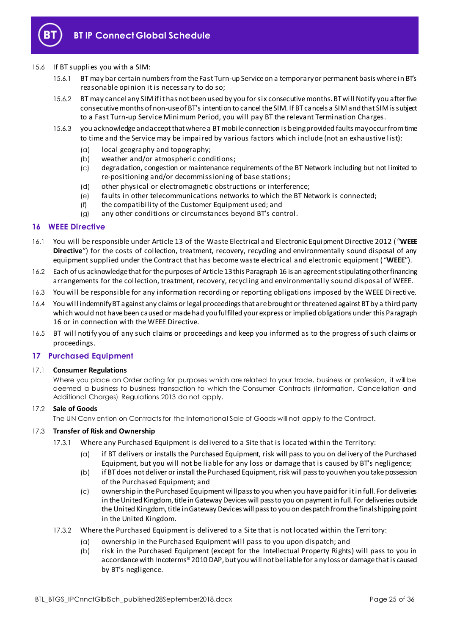

#### 15.6 If BT supplies you with a SIM:

- 15.6.1 BT may bar certain numbers from the Fast Turn-up Service on a temporary or permanent basis where in BT's reasonable opinion it is necessary to do so;
- 15.6.2 BT may cancel any SIM if it has not been used by you for six consecutive months. BT will Notify you after five consecutive months of non-use of BT's intention to cancel the SIM. If BT cancels a SIM and that SIM is subject to a Fast Turn-up Service Minimum Period, you will pay BT the relevant Termination Charges.
- 15.6.3 you acknowledge and accept that where a BT mobile connection is being provided faults may occur from time to time and the Service may be impaired by various factors which include (not an exhaustive list):
	- (a) local geography and topography;
	- (b) weather and/or atmospheric conditions;
	- (c) degradation, congestion or maintenance requirements of the BT Network including but not limited to re-positioning and/or decommissioning of base stations;
	- (d) other physical or electromagnetic obstructions or interference;
	- (e) faults in other telecommunications networks to which the BT Network is connected;
	- (f) the compatibility of the Customer Equipment used; and
	- (g) any other conditions or circumstances beyond BT's control.

#### <span id="page-24-0"></span>**16 WEEE Directive**

- 16.1 You will be responsible under Article 13 of the Waste Electrical and Electronic Equipment Directive 2012 ( "**WEEE Directive**") for the costs of collection, treatment, recovery, recycling and environmentally sound disposal of any equipment supplied under the Contract that has become waste electrical and electronic equipment ( "**WEEE**").
- 16.2 Each of us acknowledge that for the purposes of Article 13 this Paragrap[h 16](#page-24-0) is an agreement stipulating other financing arrangements for the collection, treatment, recovery, recycling and environmentally sound disposal of WEEE.
- 16.3 You will be responsible for any information recording or reporting obligations imposed by the WEEE Directive.
- 16.4 You will indemnify BT against any claims or legal proceedings that are brought or threatened against BT by a third party which would not have been caused or made had you fulfilled your express or implied obligations under this Paragraph [16](#page-24-0) or in connection with the WEEE Directive.
- 16.5 BT will notify you of any such claims or proceedings and keep you informed as to the progress of such claims or proceedings.

#### <span id="page-24-1"></span>**17 Purchased Equipment**

#### 17.1 **Consumer Regulations**

Where you place an Order acting for purposes which are related to your trade, business or profession, it will be deemed a business to business transaction to which the Consumer Contracts (Information, Cancellation and Additional Charges) Regulations 2013 do not apply.

#### 17.2 **Sale of Goods**

The UN Conv ention on Contracts for the International Sale of Goods will not apply to the Contract.

#### <span id="page-24-2"></span>17.3 **Transfer of Risk and Ownership**

- 17.3.1 Where any Purchased Equipment is delivered to a Site that is located within the Territory:
	- (a) if BT delivers or installs the Purchased Equipment, risk will pass to you on delivery of the Purchased Equipment, but you will not be liable for any loss or damage that is caused by BT's negligence;
	- (b) if BT does not deliver or install the Purchased Equipment, risk will pass to you when you take possession of the Purchased Equipment; and
	- (c) ownership in the Purchased Equipment will pass to you when you have paid for it in full. For deliveries in the United Kingdom, title in Gateway Devices will pass to you on payment in full. For deliveries outside the United Kingdom, title in Gateway Devices will pass to you on despatch from the final shipping point in the United Kingdom.
- 17.3.2 Where the Purchased Equipment is delivered to a Site that is not located within the Territory:
	- (a) ownership in the Purchased Equipment will pass to you upon dispatch; and
	- (b) risk in the Purchased Equipment (except for the Intellectual Property Rights) will pass to you in accordance with Incoterms® 2010 DAP, but you will not be liable for any loss or damage that is caused by BT's negligence.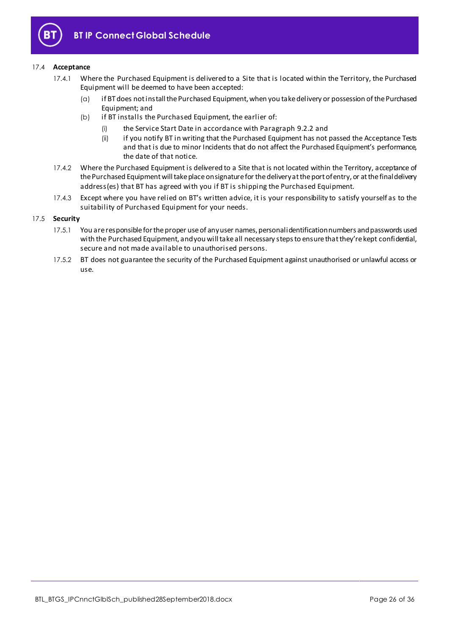

#### 17.4 **Acceptance**

- 17.4.1 Where the Purchased Equipment is delivered to a Site that is located within the Territory, the Purchased Equipment will be deemed to have been accepted:
	- (a) if BT does not install the Purchased Equipment, when you take delivery or possession of the Purchased Equipment; and
	- (b) if BT installs the Purchased Equipment, the earlier of:
		- (i) the Service Start Date in accordance with Paragr[aph 9](#page-18-4).2.2 and
		- (ii) if you notify BT in writing that the Purchased Equipment has not passed the Acceptance Tests and that is due to minor Incidents that do not affect the Purchased Equipment's performance, the date of that notice.
- 17.4.2 Where the Purchased Equipment is delivered to a Site that is not located within the Territory, acceptance of the Purchased Equipment will take place on signature for the delivery at the port of entry, or at the final delivery address(es) that BT has agreed with you if BT is shipping the Purchased Equipment.
- 17.4.3 Except where you have relied on BT's written advice, it is your responsibility to satisfy yourself as to the suitability of Purchased Equipment for your needs.

#### 17.5 **Security**

- 17.5.1 You are responsible for the proper use of any user names, personal identification numbers and passwords used with the Purchased Equipment, and you will take all necessary steps to ensure that they're kept confidential, secure and not made available to unauthorised persons.
- 17.5.2 BT does not guarantee the security of the Purchased Equipment against unauthorised or unlawful access or use.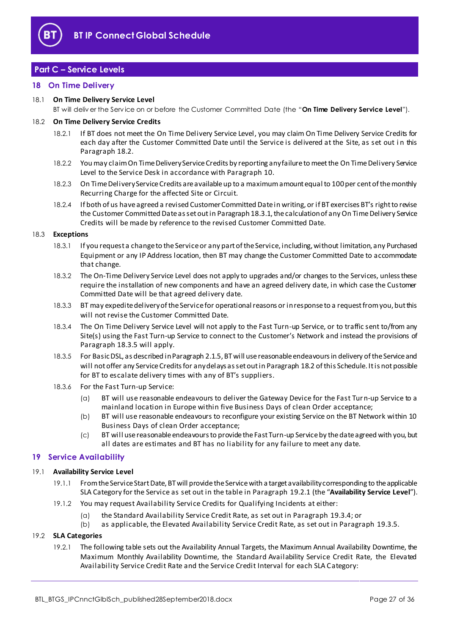

# <span id="page-26-0"></span>**Part C – Service Levels**

#### <span id="page-26-1"></span>**18 On Time Delivery**

#### 18.1 **On Time Delivery Service Level**

BT will deliv er the Serv ice on or before the Customer Committed Date (the "**On Time Delivery Service Level**").

#### <span id="page-26-3"></span>18.2 **On Time Delivery Service Credits**

- 18.2.1 If BT does not meet the On Time Delivery Service Level, you may claim On Time Delivery Service Credits for each day after the Customer Committed Date until the Service is delivered at the Site, as set out i n this Paragrap[h 18.2](#page-26-3).
- 18.2.2 You may claim On Time Delivery Service Credits by reporting any failure to meet the On Time Delivery Service Level to the Service Desk in accordance with Parag[raph](#page-21-0) 10.
- 18.2.3 On Time Delivery Service Credits are available up to a maximum amount equal to 100 per cent of the monthly Recurring Charge for the affected Site or Circuit.
- 18.2.4 If both of us have agreed a revised Customer Committed Date in writing, or if BT exercises BT's right to revise the Customer Committed Date as set out in Paragrap[h 18.3.1](#page-26-4), the calculation of any On Time Delivery Service Credits will be made by reference to the revised Customer Committed Date.

#### <span id="page-26-4"></span>18.3 **Exceptions**

- 18.3.1 If you request a change to the Service or any part of the Service, including, without limitation, any Purchased Equipment or any IP Address location, then BT may change the Customer Committed Date to accommodate that change.
- 18.3.2 The On-Time Delivery Service Level does not apply to upgrades and/or changes to the Services, unless these require the installation of new components and have an agreed delivery date, in which case the Customer Committed Date will be that agreed delivery date.
- 18.3.3 BT may expedite delivery of the Service for operational reasons or in response to a request from you, but this will not revise the Customer Committed Date.
- 18.3.4 The On Time Delivery Service Level will not apply to the Fast Turn-up Service, or to traffic sent to/from any Site(s) using the Fast Turn-up Service to connect to the Customer's Network and instead the provisions of Paragrap[h 18.3.5](#page-26-5) will apply.
- <span id="page-26-5"></span>18.3.5 For Basic DSL, as described in Paragrap[h 2.1.5](#page-2-0), BT will use reasonable endeavours in delivery of the Service and will not offer any Service Credits for any delays as set out in Paragrap[h 18.2](#page-26-3) of this Schedule. It is not possible for BT to escalate delivery times with any of BT's suppliers.
- 18.3.6 For the Fast Turn-up Service:
	- (a) BT will use reasonable endeavours to deliver the Gateway Device for the Fast Turn-up Service to a mainland location in Europe within five Business Days of clean Order acceptance;
	- (b) BT will use reasonable endeavours to reconfigure your existing Service on the BT Network within 10 Business Days of clean Order acceptance;
	- (c) BT will use reasonable endeavours to provide the Fast Turn-up Service by the date agreed with you, but all dates are estimates and BT has no liability for any failure to meet any date.

#### <span id="page-26-2"></span>**19 Service Availability**

#### <span id="page-26-9"></span><span id="page-26-7"></span>19.1 **Availability Service Level**

- 19.1.1 From the Service Start Date, BT will provide the Service with a target availability corresponding to the applicable SLA Category for the Service as set out in the table in Paragr[aph 19](#page-26-6).2.1 (the "**Availability Service Level**").
- 19.1.2 You may request Availability Service Credits for Qualifying Incidents at either:
	- (a) the Standard Availability Service Credit Rate, as set out in Para[graph 1](#page-27-0)9.3.4; or
	- (b) as applicable, the Elevated Availability Service Credit Rate, as set out in Par[agraph](#page-27-1) 19.3.5.

#### <span id="page-26-8"></span><span id="page-26-6"></span>19.2 **SLA Categories**

19.2.1 The following table sets out the Availability Annual Targets, the Maximum Annual Availability Downtime, the Maximum Monthly Availability Downtime, the Standard Availability Service Credit Rate, the Elevated Availability Service Credit Rate and the Service Credit Interval for each SLA Category: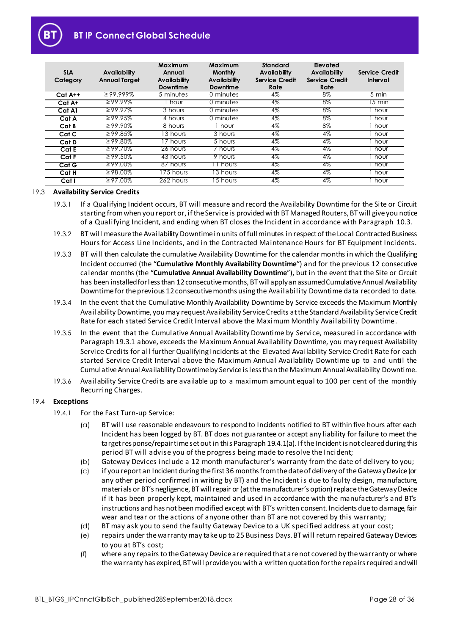# **BT IP Connect Global Schedule**

| <b>SLA</b><br>Category | Availability<br><b>Annual Target</b> | Maximum<br>Annual<br><b>Availability</b><br>Downtime | Maximum<br><b>Monthly</b><br>Availability<br><b>Downtime</b> | <b>Standard</b><br><b>Availability</b><br>Service Credit<br>Rate | Elevated<br>Availability<br>Service Credit<br>Rate | <b>Service Credit</b><br>Interval |
|------------------------|--------------------------------------|------------------------------------------------------|--------------------------------------------------------------|------------------------------------------------------------------|----------------------------------------------------|-----------------------------------|
| $C$ at A++             | $299.999\%$                          | 5 minutes                                            | 0 minutes                                                    | 4%                                                               | 8%                                                 | $5 \text{ min}$                   |
| Cat A+                 | $\geq$ 99.99%                        | hour                                                 | 0 minutes                                                    | 4%                                                               | 8%                                                 | $5 \text{ min}$                   |
| Cat A1                 | $\geq$ 99.97%                        | 3 hours                                              | 0 minutes                                                    | $4\%$                                                            | 8%                                                 | hour                              |
| Cat A                  | $\geq 99.95\%$                       | 4 hours                                              | 0 minutes                                                    | $4\%$                                                            | $8\%$                                              | hour                              |
| Cat B                  | $\sqrt{299.90\%}$                    | 8 hours                                              | hour                                                         | 4%                                                               | 8%                                                 | hour                              |
| Cat C                  | $\geq 99.85\%$                       | 13 hours                                             | 3 hours                                                      | $4\%$                                                            | $4\%$                                              | hour                              |
| Cat D                  | $\geq$ 99.80%                        | 7 hours                                              | 5 hours                                                      | $4\%$                                                            | 4%                                                 | hour                              |
| Cat E                  | $\geq 99.70\%$                       | 26 hours                                             | ' hours                                                      | 4%                                                               | 4%                                                 | hour                              |
| CatF                   | ≥99.50%                              | 43 hours                                             | 9 hours                                                      | 4%                                                               | 4%                                                 | hour                              |
| Cat G                  | $\geq$ 99.00%                        | 87 hours                                             | 1 hours                                                      | 4%                                                               | 4%                                                 | hour                              |
| Cat H                  | $\geq 98.00\%$                       | 175 hours                                            | 13 hours                                                     | $4\%$                                                            | 4%                                                 | hour                              |
| Cat I                  | $\geq 97.00\%$                       | 262 hours                                            | $\overline{15}$ hours                                        | 4%                                                               | $4\%$                                              | hour                              |

#### <span id="page-27-4"></span><span id="page-27-2"></span>19.3 **Availability Service Credits**

- 19.3.1 If a Qualifying Incident occurs, BT will measure and record the Availability Downtime for the Site or Circuit starting from when you report or, if the Service is provided with BT Managed Routers, BT will give you notice of a Qualifying Incident, and ending when BT closes the Incident in accordance with Pa[ragrap](#page-21-2)h 10.3.
- 19.3.2 BT will measure the Availability Downtime in units of full minutes in respect of the Local Contracted Business Hours for Access Line Incidents, and in the Contracted Maintenance Hours for BT Equipment Incidents.
- <span id="page-27-5"></span>19.3.3 BT will then calculate the cumulative Availability Downtime for the calendar months in which the Qualifying Incident occurred (the "**Cumulative Monthly Availability Downtime**") and for the previous 12 consecutive calendar months (the "**Cumulative Annual Availability Downtime**"), but in the event that the Site or Circuit has been installed for less than 12 consecutive months, BT will apply an assumed Cumulative Annual Availability Downtime for the previous 12 consecutive months using the Availability Downtime data recorded to date.
- <span id="page-27-0"></span>19.3.4 In the event that the Cumulative Monthly Availability Downtime by Service exceeds the Maximum Monthly Availability Downtime, you may request Availability Service Credits at the Standard Availability Service Credit Rate for each stated Service Credit Interval above the Maximum Monthly Availability Downtime.
- <span id="page-27-1"></span>19.3.5 In the event that the Cumulative Annual Availability Downtime by Service, measured in accordance with Paragrap[h 19.3.1](#page-27-2) above, exceeds the Maximum Annual Availability Downtime, you may request Availability Service Credits for all further Qualifying Incidents at the Elevated Availability Service Credit Rate for each started Service Credit Interval above the Maximum Annual Availability Downtime up to and until the Cumulative Annual Availability Downtime by Service is less than the Maximum Annual Availability Downtime.
- 19.3.6 Availability Service Credits are available up to a maximum amount equal to 100 per cent of the monthly Recurring Charges.

#### <span id="page-27-3"></span>19.4 **Exceptions**

- 19.4.1 For the Fast Turn-up Service:
	- (a) BT will use reasonable endeavours to respond to Incidents notified to BT within five hours after each Incident has been logged by BT. BT does not guarantee or accept any liability for failure to meet the target response/repair time set out in this Paragrap[h 19.4.1\(a\)](#page-27-3). If the Incident is not cleared during this period BT will advise you of the progress being made to resolve the Incident;
	- (b) Gateway Devices include a 12 month manufacturer's warranty from the date of delivery to you;
	- (c) if you report an Incident during the first 36 months from the date of delivery of the Gateway Device (or any other period confirmed in writing by BT) and the Incident is due to faulty design, manufacture, materials or BT's negligence, BT will repair or (at the manufacturer's option) replace the Gateway Device if it has been properly kept, maintained and used in accordance with the manufacturer's and BT's instructions and has not been modified except with BT's written consent. Incidents due to damage, fair wear and tear or the actions of anyone other than BT are not covered by this warranty;
	- (d) BT may ask you to send the faulty Gateway Device to a UK specified address at your cost;
	- (e) repairs under the warranty may take up to 25 Business Days. BT will return repaired Gateway Devices to you at BT's cost;
	- (f) where any repairs to the Gateway Device are required that are not covered by the warranty or where the warranty has expired, BT will provide you with a written quotation for the repairs required and will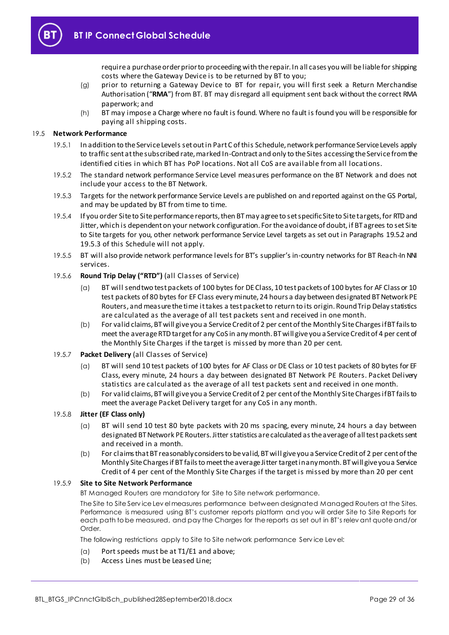

require a purchase order prior to proceeding with the repair. In all cases you will be liable for shipping costs where the Gateway Device is to be returned by BT to you;

- (g) prior to returning a Gateway Device to BT for repair, you will first seek a Return Merchandise Authorisation ("**RMA**") from BT. BT may disregard all equipment sent back without the correct RMA paperwork; and
- (h) BT may impose a Charge where no fault is found. Where no fault is found you will be responsible for paying all shipping costs.

#### <span id="page-28-2"></span>19.5 **Network Performance**

- 19.5.1 In addition to the Service Levels set out in Part C of this Schedule, network performance Service Levels apply to traffic sent at the subscribed rate, marked In-Contract and only to the Sites accessing the Service from the identified cities in which BT has PoP locations. Not all CoS are available from all locations.
- <span id="page-28-0"></span>19.5.2 The standard network performance Service Level measures performance on the BT Network and does not include your access to the BT Network.
- <span id="page-28-1"></span>19.5.3 Targets for the network performance Service Levels are published on and reported against on the GS Portal, and may be updated by BT from time to time.
- 19.5.4 If you order Site to Site performance reports, then BT may agree to set specific Site to Site targets, for RTD and Jitter, which is dependent on your network configuration. For the avoidance of doubt, if BT agrees to set Site to Site targets for you, other network performance Service Level targets as set out in Paragraph[s 19.5.2](#page-28-0) and [19.5.3](#page-28-1) of this Schedule will not apply.
- 19.5.5 BT will also provide network performance levels for BT's supplier's in-country networks for BT Reach-In NNI services.

#### 19.5.6 **Round Trip Delay ("RTD")** (all Classes of Service)

- (a) BT will send two test packets of 100 bytes for DE Class, 10 test packets of 100 bytes for AF Class or 10 test packets of 80 bytes for EF Class every minute, 24 hours a day between designated BT Network PE Routers, and measure the time it takes a test packet to return to its origin. Round Trip Delay statistics are calculated as the average of all test packets sent and received in one month.
- (b) For valid claims, BT will give you a Service Credit of 2 per cent of the Monthly Site Charges if BT fails to meet the average RTD target for any CoS in any month. BT will give you a Service Credit of 4 per cent of the Monthly Site Charges if the target is missed by more than 20 per cent.

#### 19.5.7 **Packet Delivery** (all Classes of Service)

- (a) BT will send 10 test packets of 100 bytes for AF Class or DE Class or 10 test packets of 80 bytes for EF Class, every minute, 24 hours a day between designated BT Network PE Routers. Packet Delivery statistics are calculated as the average of all test packets sent and received in one month.
- (b) For valid claims, BT will give you a Service Credit of 2 per cent of the Monthly Site Charges if BT fails to meet the average Packet Delivery target for any CoS in any month.

#### 19.5.8 **Jitter (EF Class only)**

- (a) BT will send 10 test 80 byte packets with 20 ms spacing, every minute, 24 hours a day between designated BT Network PE Routers. Jitter statistics are calculated as the average of all test packets sent and received in a month.
- (b) For claims that BT reasonably considers to be valid, BT will give you a Service Credit of 2 per cent of the Monthly Site Charges if BT fails to meet the average Jitter target in any month. BT will give you a Service Credit of 4 per cent of the Monthly Site Charges if the target is missed by more than 20 per cent

#### 19.5.9 **Site to Site Network Performance**

BT Managed Routers are mandatory for Site to Site network performance.

The Site to Site Serv ice Lev el measures performance between designated Managed Routers at the Sites. Performance is measured using BT's customer reports platform and you will order Site to Site Reports for each path to be measured, and pay the Charges for the reports as set out in BT's relev ant quote and/or Order.

The following restrictions apply to Site to Site network performance Serv ice Lev el:

- (a) Port speeds must be at T1/E1 and above;
- (b) Access Lines must be Leased Line;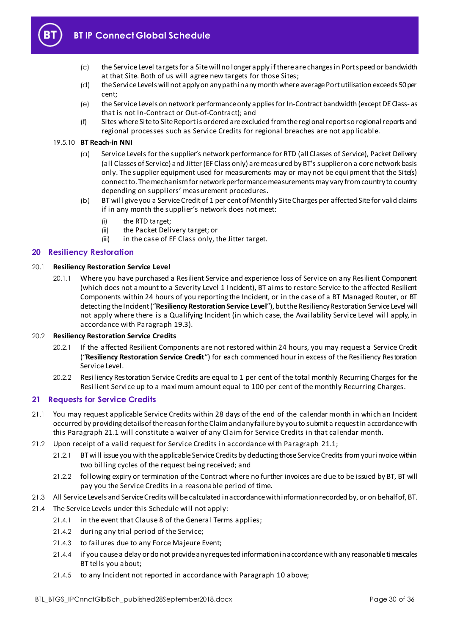

- (c) the Service Level targets for a Site will no longer apply if there are changes in Port speed or bandwidth at that Site. Both of us will agree new targets for those Sites;
- (d) the Service Levels will not apply on any path in any month where average Port utilisation exceeds 50 per cent;
- (e) the Service Levels on network performance only applies for In-Contract bandwidth (except DE Class- as that is not In-Contract or Out-of-Contract); and
- (f) Sites where Site to Site Report is ordered are excluded from the regional report so regional reports and regional processes such as Service Credits for regional breaches are not applicable.

#### 19.5.10 **BT Reach-in NNI**

- (a) Service Levels for the supplier's network performance for RTD (all Classes of Service), Packet Delivery (all Classes of Service) and Jitter (EF Class only) are measured by BT's supplier on a core network basis only. The supplier equipment used for measurements may or may not be equipment that the Site(s) connect to. The mechanism for network performance measurements may vary from country to country depending on suppliers' measurement procedures.
- (b) BT will give you a Service Credit of 1 per cent of Monthly Site Charges per affected Site for valid claims if in any month the supplier's network does not meet:
	- (i) the RTD target;
	- (ii) the Packet Delivery target; or
	- (iii) in the case of EF Class only, the Jitter target.

#### <span id="page-29-0"></span>**20 Resiliency Restoration**

#### <span id="page-29-4"></span>20.1 **Resiliency Restoration Service Level**

20.1.1 Where you have purchased a Resilient Service and experience loss of Service on any Resilient Component (which does not amount to a Severity Level 1 Incident), BT aims to restore Service to the affected Resilient Components within 24 hours of you reporting the Incident, or in the case of a BT Managed Router, or BT detecting the Incident ("**Resiliency Restoration Service Level**"), but the Resiliency Restoration Service Level will not apply where there is a Qualifying Incident (in which case, the Availability Service Level will apply, in accordance with Paragra[ph 19](#page-27-4).3).

#### <span id="page-29-3"></span>20.2 **Resiliency Restoration Service Credits**

- 20.2.1 If the affected Resilient Components are not restored within 24 hours, you may request a Service Credit ("**Resiliency Restoration Service Credit**") for each commenced hour in excess of the Resiliency Restoration Service Level.
- 20.2.2 Resiliency Restoration Service Credits are equal to 1 per cent of the total monthly Recurring Charges for the Resilient Service up to a maximum amount equal to 100 per cent of the monthly Recurring Charges.

#### <span id="page-29-1"></span>**21 Requests for Service Credits**

- <span id="page-29-2"></span>21.1 You may request applicable Service Credits within 28 days of the end of the calendar month in which an Incident occurred by providing details of the reason for the Claim and any failure by you to submit a request in accordance with this Paragra[ph 21.](#page-29-2)1 will constitute a waiver of any Claim for Service Credits in that calendar month.
- 21.2 Upon receipt of a valid request for Service Credits in accordance with Par[agraph](#page-29-2) 21.1;
	- 21.2.1 BT will issue you with the applicable Service Credits by deducting those Service Credits from your invoice within two billing cycles of the request being received; and
	- 21.2.2 following expiry or termination of the Contract where no further invoices are due to be issued by BT, BT will pay you the Service Credits in a reasonable period of time.
- 21.3 All Service Levels and Service Credits will be calculated in accordance with information recorded by, or on behalf of, BT.
- 21.4 The Service Levels under this Schedule will not apply:
	- 21.4.1 in the event that Clause 8 of the General Terms applies;
	- 21.4.2 during any trial period of the Service;
	- 21.4.3 to failures due to any Force Majeure Event;
	- 21.4.4 if you cause a delay or do not provide any requested information in accordance with any reasonable timescales BT tells you about;
	- 21.4.5 to any Incident not reported in accordance with Parag[raph](#page-21-0) 10 above;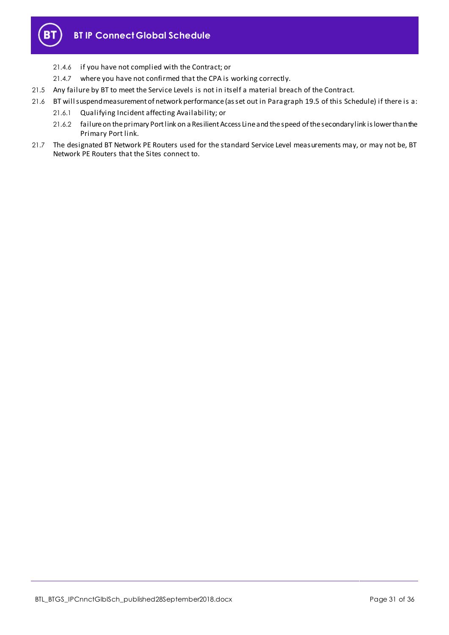

- 21.4.6 if you have not complied with the Contract; or
- 21.4.7 where you have not confirmed that the CPA is working correctly.
- 21.5 Any failure by BT to meet the Service Levels is not in itself a material breach of the Contract.
- 21.6 BT will suspend measurement of network performance (as set out in Para gra[ph 19](#page-28-2).5 of this Schedule) if there is a:
	- 21.6.1 Qualifying Incident affecting Availability; or
	- 21.6.2 failure on the primary Port link on a Resilient Access Line and the speed of the secondary link is lower than the Primary Port link.
- 21.7 The designated BT Network PE Routers used for the standard Service Level measurements may, or may not be, BT Network PE Routers that the Sites connect to.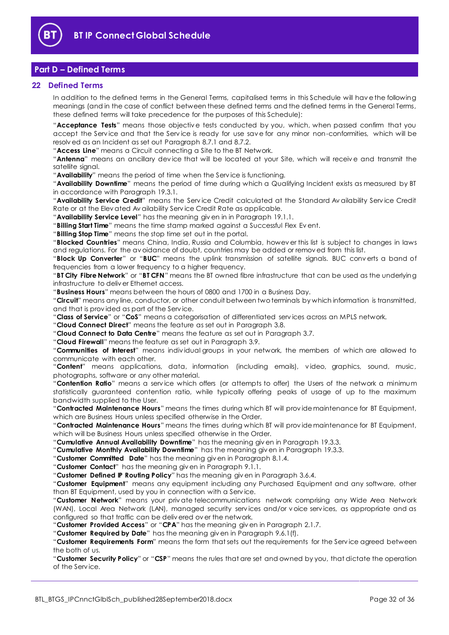

# <span id="page-31-0"></span>**Part D – Defined Terms**

#### <span id="page-31-1"></span>**22 Defined Terms**

In addition to the defined terms in the General Terms, capitalised terms in this Schedule will hav e the following meanings (and in the case of conflict between these defined terms and the defined terms in the General Terms, these defined terms will take precedence for the purposes of this Schedule):

"**Acceptance Tests**" means those objectiv e tests conducted by you, which, when passed confirm that you accept the Serv ice and that the Serv ice is ready for use sav e for any minor non-conformities, which will be resolv ed as an Incident as set out Paragraph [8.7.1](#page-15-1) and [8.7.2.](#page-15-2)

"**Access Line**" means a Circuit connecting a Site to the BT Network.

"**Antenna**" means an ancillary dev ice that will be located at your Site, which will receiv e and transmit the satellite signal.

"**Availability**" means the period of time when the Serv ice is functioning.

"**Availability Downtime**" means the period of time during which a Qualifying Incident exists as measured by BT in accordance with Paragrap[h 19.3.1.](#page-27-2) 

"**Availability Service Credit**" means the Serv ice Credit calculated at the Standard Av ailability Serv ice Credit Rate or at the Elev ated Av ailability Serv ice Credit Rate as applicable.

"**Availability Service Level**" has the meaning giv en in in Paragraph [19.1.1.](#page-26-7)

"**Billing Start Time**" means the time stamp marked against a Successful Flex Ev ent.

"**Billing Stop Time**" means the stop time set out in the portal.

"**Blocked Countries**" means China, India, Russia and Columbia, howev er this list is subject to changes in laws and regulations. For the av oidance of doubt, countries may be added or remov ed from this list.

"**Block Up Converter**" or "**BUC**" means the uplink transmission of satellite signals. BUC conv erts a band of frequencies from a lower frequency to a higher frequency.

"**BT City Fibre Network**" or "**BT CFN**" means the BT owned fibre infrastructure that can be used as the underlying infrastructure to deliv er Ethernet access.

"**Business Hours**" means between the hours of 0800 and 1700 in a Business Day.

"**Circuit**" means any line, conductor, or other conduit between two terminals by which information is transmitted, and that is prov ided as part of the Serv ice.

"**Class of Service**" or "**CoS**" means a categorisation of differentiated serv ices across an MPLS network.

"**Cloud Connect Direct**" means the feature as set out in Paragraph [3.8.](#page-8-1)

"**Cloud Connect to Data Centre**" means the feature as set out in Paragrap[h 3.7.](#page-8-2)

"**Cloud Firewall**" means the feature as set out in Paragraph [3.9.](#page-8-0)

"**Communities of Interest**" means indiv idual groups in your network, the members of which are allowed to communicate with each other.

"**Content**" means applications, data, information (including emails), v ideo, graphics, sound, music, photographs, software or any other material.

"**Contention Ratio**" means a serv ice which offers (or attempts to offer) the Users of the network a minimum statistically guaranteed contention ratio, while typically offering peaks of usage of up to the maximum bandwidth supplied to the User.

"**Contracted Maintenance Hours**" means the times during which BT will prov ide maintenance for BT Equipment, which are Business Hours unless specified otherwise in the Order.

"**Contracted Maintenance Hours**" means the times during which BT will prov ide maintenance for BT Equipment, which will be Business Hours unless specified otherwise in the Order.

"**Cumulative Annual Availability Downtime**" has the meaning giv en in Paragraph [19.3.3.](#page-27-5)

"**Cumulative Monthly Availability Downtime**" has the meaning giv en in Paragrap[h 19.3.3.](#page-27-5)

"**Customer Committed Date**" has the meaning giv en in Paragraph [8.1.4.](#page-14-7)

"**Customer Contact**" has the meaning giv en in Paragraph [9.1.1.](#page-16-2)

"**Customer Defined IP Routing Policy**" has the meaning giv en in Paragrap[h 3.6.4.](#page-7-0)

"**Customer Equipment**" means any equipment including any Purchased Equipment and any software, other than BT Equipment, used by you in connection with a Serv ice.

"**Customer Network**" means your priv ate telecommunications network comprising any Wide Area Network (WAN), Local Area Network (LAN), managed security serv ices and/or v oice serv ices, as appropriate and as configured so that traffic can be deliv ered ov er the network.

"**Customer Provided Access**" or "**CPA**" has the meaning giv en in Paragraph [2.1.7.](#page-2-1)

"**Customer Required by Date**" has the meaning giv en in Paragraph [9.6.1\(f\).](#page-21-5)

"**Customer Requirements Form**" means the form that sets out the requirements for the Serv ice agreed between the both of us.

"**Customer Security Policy**" or "**CSP**" means the rules that are set and owned by you, that dictate the operation of the Serv ice.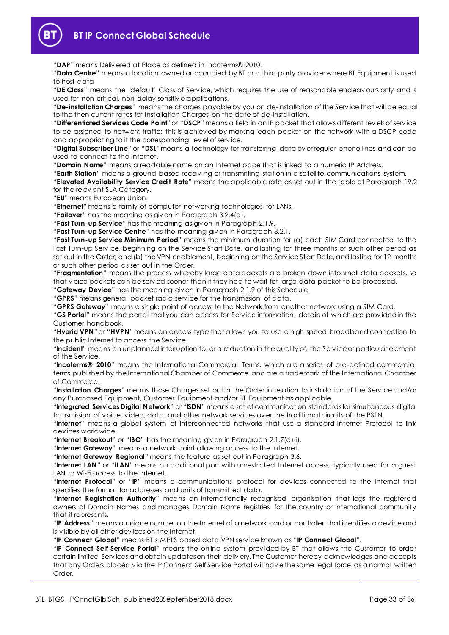

# **BT IP Connect Global Schedule**

"**DAP**" means Deliv ered at Place as defined in Incoterms® 2010.

"**Data Centre**" means a location owned or occupied by BT or a third party prov ider where BT Equipment is used to host data

"**DE Class**" means the 'default' Class of Serv ice, which requires the use of reasonable endeav ours only and is used for non-critical, non-delay sensitiv e applications.

"**De-installation Charges**" means the charges payable by you on de-installation of the Serv ice that will be equal to the then current rates for Installation Charges on the date of de-installation.

"**Differentiated Services Code Point**"or "**DSCP**"means a field in an IP packet that allows different lev els of serv ice to be assigned to network traffic; this is achiev ed by marking each packet on the network with a DSCP code and appropriating to it the corresponding lev el of serv ice.

"**Digital Subscriber Line**" or "**DSL**"means a technology for transferring data ov er regular phone lines and can be used to connect to the Internet.

"**Domain Name**" means a readable name on an Internet page that is linked to a numeric IP Address.

"**Earth Station**" means a ground-based receiv ing or transmitting station in a satellite communications system.

"**Elevated Availability Service Credit Rate**" means the applicable rate as set out in the table at Paragraph [19.2](#page-26-8) for the relev ant SLA Category.

"**EU**" means European Union.

"**Ethernet**" means a family of computer networking technologies for LANs.

"**Failover**" has the meaning as giv en in Paragraph [3.2.4\(a\).](#page-6-2)

"**Fast Turn-up Service**" has the meaning as giv en in Paragraph [2.1.9.](#page-3-0)

"**Fast Turn-up Service Centre**" has the meaning giv en in Paragraph [8.2.1.](#page-14-8)

"**Fast Turn-up Service Minimum Period**" means the minimum duration for (a) each SIM Card connected to the Fast Turn-up Serv ice, beginning on the Serv ice Start Date, and lasting for three months or such other period as set out in the Order; and (b) the VPN enablement, beginning on the Serv ice Start Date, and lasting for 12 months or such other period as set out in the Order.

"**Fragmentation**" means the process whereby large data packets are broken down into small data packets, so that v oice packets can be serv ed sooner than if they had to wait for large data packet to be processed.

"**Gateway Device**" has the meaning giv en in Paragraph [2.1.9](#page-3-0) of this Schedule.

"**GPRS**" means general packet radio serv ice for the transmission of data.

"**GPRS Gateway**" means a single point of access to the Network from another network using a SIM Card.

"**GS Portal**" means the portal that you can access for Serv ice information, details of which are prov ided in the Customer handbook.

"**Hybrid VPN**"or "**HVPN**"means an access type that allows you to use a high speed broadband connection to the public Internet to access the Serv ice.

"**Incident**" means an unplanned interruption to, or a reduction in the quality of, the Serv ice or particular element of the Serv ice.

"**Incoterms® 2010**" means the International Commercial Terms, which are a series of pre-defined commercial terms published by the International Chamber of Commerce and are a trademark of the International Chamber of Commerce.

"**Installation Charges**" means those Charges set out in the Order in relation to installation of the Serv ice and/or any Purchased Equipment, Customer Equipment and/or BT Equipment as applicable.

"**Integrated Services Digital Network**" or "**ISDN**" means a set of communication standards for simultaneous digital transmission of v oice, v ideo, data, and other network serv ices ov er the traditional circuits of the PSTN.

"**Internet**" means a global system of interconnected networks that use a standard Internet Protocol to link dev ices worldwide.

"**Internet Breakout**" or "**IBO**" has the meaning giv en in Paragrap[h 2.1.7\(d\)\(i\).](#page-2-2)

"**Internet Gateway**" means a network point allowing access to the Internet.

"**Internet Gateway Regional**" means the feature as set out in Paragraph [3.6.](#page-7-1)

"**Internet LAN**" or "**iLAN**" means an additional port with unrestricted Internet access, typically used for a guest LAN or Wi-Fi access to the Internet.

"**Internet Protocol**" or "**IP**" means a communications protocol for dev ices connected to the Internet that specifies the format for addresses and units of transmitted data.

"**Internet Registration Authority**" means an internationally recognised organisation that logs the registered owners of Domain Names and manages Domain Name registries for the country or international community that it represents.

"**IP Address**" means a unique number on the Internet of a network card or controller that identifies a dev ice and is v isible by all other dev ices on the Internet.

"**IP Connect Global**" means BT's MPLS based data VPN serv ice known as "**IP Connect Global**".

"**IP Connect Self Service Portal**" means the online system prov ided by BT that allows the Customer to order certain limited Serv ices and obtain updates on their deliv ery. The Customer hereby acknowledges and accepts that any Orders placed v ia the IP Connect Self Serv ice Portal will hav e the same legal force as a normal written Order.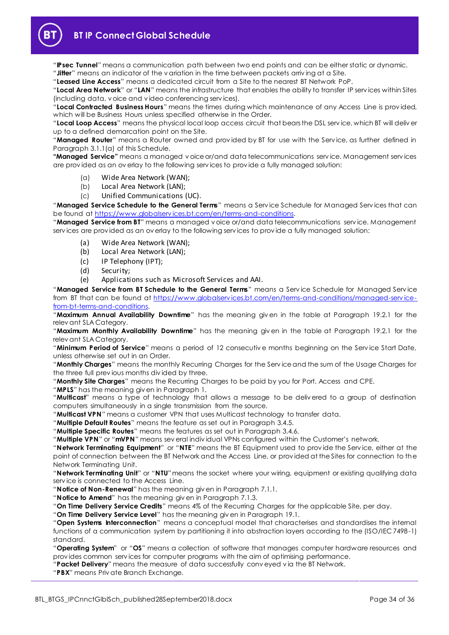**BT IP Connect Global Schedule**

"**IPsec Tunnel**" means a communication path between two end points and can be either static or dynamic. "**Jitter**" means an indicator of the v ariation in the time between packets arriv ing at a Site.

"**Leased Line Access**" means a dedicated circuit from a Site to the nearest BT Network PoP.

"**Local Area Network**" or "**LAN**" means the infrastructure that enables the ability to transfer IP serv ices within Sites (including data, v oice and v ideo conferencing serv ices).

"**Local Contracted Business Hours**" means the times during which maintenance of any Access Line is prov ided, which will be Business Hours unless specified otherwise in the Order.

"**Local Loop Access**" means the physical local loop access circuit that bears the DSL serv ice, which BT will deliv er up to a defined demarcation point on the Site.

"**Managed Router**" means a Router owned and prov ided by BT for use with the Serv ice, as further defined in Paragraph [3.1.1\(a\)](#page-5-2) of this Schedule.

**"Managed Service"** means a managed v oice or/and data telecommunications serv ice. Management serv ices are prov ided as an ov erlay to the following serv ices to prov ide a fully managed solution:

- (a) Wide Area Network (WAN);
- (b) Local Area Network (LAN);
- (c) Unified Communications (UC).

"**Managed Service Schedule to the General Terms**" means a Serv ice Schedule for Managed Serv ices that can be found a[t https://www.globalserv ices.bt.com/en/terms-and-conditions.](https://www.globalservices.bt.com/en/terms-and-conditions) 

"**Managed Service from BT**" means a managed v oice or/and data telecommunications serv ice. Management serv ices are prov ided as an ov erlay to the following serv ices to prov ide a fully managed solution:

- (a) Wide Area Network (WAN);
- (b) Local Area Network (LAN);
- (c) IP Telephony (IPT);
- (d) Security;
- (e) Applications such as Microsoft Services and AAI.

"**Managed Service from BT Schedule to the General Terms**" means a Serv ice Schedule for Managed Serv ice from BT that can be found at [https://www.globalserv ices.bt.com/en/terms-and-conditions/managed-serv ice](https://www.globalservices.bt.com/en/terms-and-conditions/managed-service-from-bt-terms-and-conditions)[from-bt-terms-and-conditions.](https://www.globalservices.bt.com/en/terms-and-conditions/managed-service-from-bt-terms-and-conditions)

"**Maximum Annual Availability Downtime**" has the meaning giv en in the table at Paragraph [19.2.1](#page-26-6) for the relev ant SLA Category.

"**Maximum Monthly Availability Downtime**" has the meaning giv en in the table at Paragraph [19.2.1](#page-26-6) for the relev ant SLA Category.

"**Minimum Period of Service**" means a period of 12 consecutiv e months beginning on the Serv ice Start Date, unless otherwise set out in an Order.

"**Monthly Charges**" means the monthly Recurring Charges for the Serv ice and the sum of the Usage Charges for the three full prev ious months div ided by three.

"**Monthly Site Charges**" means the Recurring Charges to be paid by you for Port, Access and CPE.

"**MPLS**" has the meaning giv en in Paragraph [1.](#page-1-2)

"**Multicast**" means a type of technology that allows a message to be deliv ered to a group of destination computers simultaneously in a single transmission from the source.

"**Multicast VPN**" means a customer VPN that uses Multicast technology to transfer data.

"**Multiple Default Routes**" means the feature as set out in Paragraph [3.4.5.](#page-7-2)

"**Multiple Specific Routes**" means the features as set out in Paragraph [3.4.6.](#page-7-3)

"**Multiple VPN**" or "**mVPN**" means sev eral indiv idual VPNs configured within the Customer's network.

"**Network Terminating Equipment**" or "**NTE**" means the BT Equipment used to prov ide the Serv ice, either at the point of connection between the BT Network and the Access Line, or prov ided at the Sites for connection to the Network Terminating Unit.

"**Network Terminating Unit**" or "**NTU**"means the socket where your wiring, equipment or existing qualifying data serv ice is connected to the Access Line.

"**Notice of Non-Renewal**" has the meaning giv en in Paragrap[h 7.1.1.](#page-13-1)

"**Notice to Amend**" has the meaning giv en in Paragraph [7.1.3.](#page-13-2)

"**On Time Delivery Service Credits**" means 4% of the Recurring Charges for the applicable Site, per day.

"**On Time Delivery Service Level**" has the meaning giv en in Paragrap[h 19.1.](#page-26-9)

"**Open Systems Interconnection**" means a conceptual model that characterises and standardises the internal functions of a communication system by partitioning it into abstraction layers according to the (ISO/IEC 7498-1) standard.

"**Operating System**" or "**OS**" means a collection of software that manages computer hardware resources and prov ides common serv ices for computer programs with the aim of optimising performance.

"**Packet Delivery**" means the measure of data successfully conv eyed v ia the BT Network.

"**PBX**" means Priv ate Branch Exchange.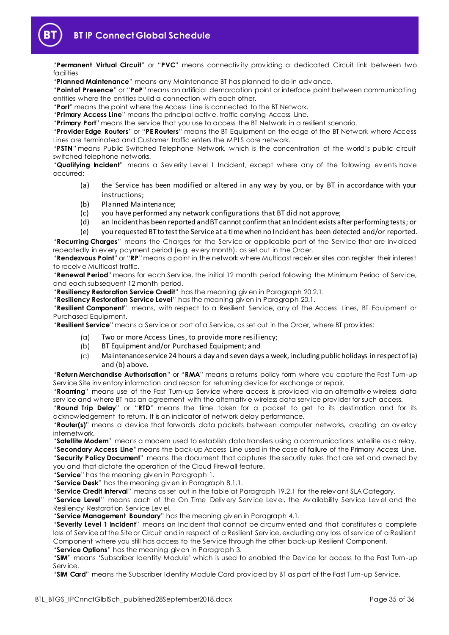

"**Permanent Virtual Circuit**" or "**PVC**" means connectiv ity prov iding a dedicated Circuit link between two facilities

"**Planned Maintenance**" means any Maintenance BT has planned to do in adv ance.

"**Point of Presence**" or "**PoP**"means an artificial demarcation point or interface point between communicating entities where the entities build a connection with each other.

"**Port**" means the point where the Access Line is connected to the BT Network.

"**Primary Access Line**" means the principal activ e, traffic carrying Access Line.

"**Primary Port**" means the serv ice that you use to access the BT Network in a resilient scenario.

"**Provider Edge Routers**" or "**PE Routers**" means the BT Equipment on the edge of the BT Network where Access Lines are terminated and Customer traffic enters the MPLS core network.

"**PSTN**" means Public Switched Telephone Network, which is the concentration of the world's public circuit switched telephone networks.

"**Qualifying Incident**" means a Sev erity Lev el 1 Incident, except where any of the following ev ents have occurred:

- (a) the Service has been modified or altered in any way by you, or by BT in accordance with your instructions;
- (b) Planned Maintenance;
- (c) you have performed any network configurations that BT did not approve;
- (d) an Incident has been reported and BT cannot confirm that an Incident exists after performing tests; or

(e) you requested BT to test the Service at a time when no Incident has been detected and/or reported.

"**Recurring Charges**" means the Charges for the Serv ice or applicable part of the Serv ice that are inv oiced repeatedly in ev ery payment period (e.g. ev ery month), as set out in the Order.

"**Rendezvous Point**" or "**RP**"means a point in the network where Multicast receiv er sites can register their interest to receiv e Multicast traffic.

"**Renewal Period**" means for each Serv ice, the initial 12 month period following the Minimum Period of Serv ice, and each subsequent 12 month period.

"**Resiliency Restoration Service Credit**" has the meaning giv en in Paragraph [20.2.1.](#page-29-3)

"**Resiliency Restoration Service Level**" has the meaning giv en in Paragraph [20.1.](#page-29-4)

"**Resilient Component**" means, with respect to a Resilient Serv ice, any of the Access Lines, BT Equipment or Purchased Equipment.

"**Resilient Service**" means a Serv ice or part of a Serv ice, as set out in the Order, where BT prov ides:

- (a) Two or more Access Lines, to provide more resiliency;
- (b) BT Equipment and/or Purchased Equipment; and
- (c) Maintenance service 24 hours a day and seven days a week, including public holidays in respect of (a) and (b) above.

"**Return Merchandise Authorisation**" or "**RMA**" means a returns policy form where you capture the Fast Turn-up Serv ice Site inv entory information and reason for returning dev ice for exchange or repair.

"**Roaming**" means use of the Fast Turn-up Serv ice where access is prov ided v ia an alternativ e wireless data serv ice and where BT has an agreement with the alternativ e wireless data serv ice prov ider for such access.

"**Round Trip Delay**" or "**RTD**" means the time taken for a packet to get to its destination and for its acknowledgement to return. It is an indicator of network delay performance.

"**Router(s)**" means a dev ice that forwards data packets between computer networks, creating an ov erlay internetwork.

"**Satellite Modem**" means a modem used to establish data transfers using a communications satellite as a relay.

"**Secondary Access Line**"means the back-up Access Line used in the case of failure of the Primary Access Line. "**Security Policy Document**" means the document that captures the security rules that are set and owned by you and that dictate the operation of the Cloud Firewall feature.

"**Service**" has the meaning giv en in Paragrap[h 1.](#page-1-2)

"**Service Desk**" has the meaning giv en in Paragraph [8.1.1.](#page-14-2)

"**Service Credit Interval**" means as set out in the table at Paragraph [19.2.1](#page-26-6) for the relev ant SLA Category.

"**Service Level**" means each of the On Time Deliv ery Serv ice Lev el, the Av ailability Serv ice Lev el and the Resiliency Restoration Serv ice Lev el.

"**Service Management Boundary**" has the meaning giv en in Paragraph [4.1.](#page-10-1)

"**Severity Level 1 Incident**" means an Incident that cannot be circumv ented and that constitutes a complete loss of Serv ice at the Site or Circuit and in respect of a Resilient Serv ice, excluding any loss of serv ice of a Resilient Component where you still has access to the Serv ice through the other back-up Resilient Component. "**Service Options**" has the meaning giv en in Paragrap[h 3.](#page-5-0)

"**SIM**" means 'Subscriber Identity Module' which is used to enabled the Dev ice for access to the Fast Turn-up Serv ice.

"**SIM Card**" means the Subscriber Identity Module Card prov ided by BT as part of the Fast Turn-up Serv ice.